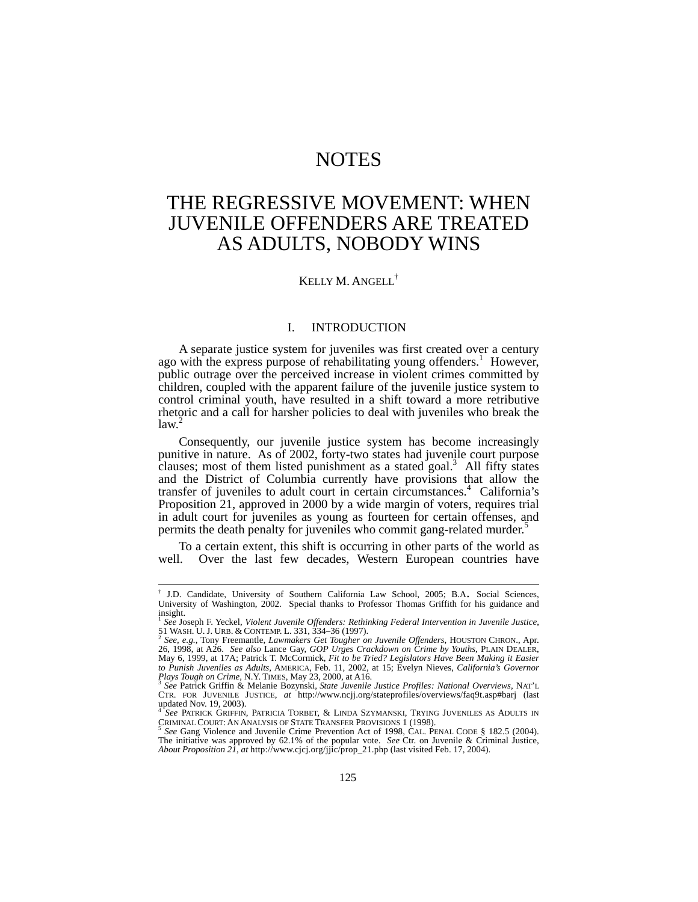## NOTES

# THE REGRESSIVE MOVEMENT: WHEN JUVENILE OFFENDERS ARE TREATED AS ADULTS, NOBODY WINS

## KELLY M. ANGELL†

## I. INTRODUCTION

A separate justice system for juveniles was first created over a century ago with the express purpose of rehabilitating young offenders.<sup>1</sup> However, public outrage over the perceived increase in violent crimes committed by children, coupled with the apparent failure of the juvenile justice system to control criminal youth, have resulted in a shift toward a more retributive rhetoric and a call for harsher policies to deal with juveniles who break the  $law.<sup>2</sup>$ 

Consequently, our juvenile justice system has become increasingly punitive in nature. As of 2002, forty-two states had juvenile court purpose clauses; most of them listed punishment as a stated goal.<sup>3</sup> All fifty states and the District of Columbia currently have provisions that allow the transfer of juveniles to adult court in certain circumstances.<sup>4</sup> California's Proposition 21, approved in 2000 by a wide margin of voters, requires trial in adult court for juveniles as young as fourteen for certain offenses, and permits the death penalty for juveniles who commit gang-related murder.<sup>5</sup>

To a certain extent, this shift is occurring in other parts of the world as well. Over the last few decades, Western European countries have

 <sup>†</sup> <sup>†</sup> J.D. Candidate, University of Southern California Law School, 2005; B.A. Social Sciences, University of Washington, 2002. Special thanks to Professor Thomas Griffith for his guidance and insight.

<sup>&</sup>lt;sup>1</sup> See Joseph F. Yeckel, *Violent Juvenile Offenders: Rethinking Federal Intervention in Juvenile Justice*, 51 WASH. U. J. URB. & CONTEMP. L. 331, 334–36 (1997).<br><sup>2</sup> See, e.g., Tony Freemantle, *Lawmakers Get Tougher on* 

<sup>26, 1998,</sup> at A26. *See also* Lance Gay, *GOP Urges Crackdown on Crime by Youths*, PLAIN DEALER, May 6, 1999, at 17A; Patrick T. McCormick, *Fit to be Tried? Legislators Have Been Making it Easier to Punish Juveniles as Adults*, AMERICA, Feb. 11, 2002, at 15; Evelyn Nieves, *California's Governor Plays Tough on Crime*, N.Y. TIMES, May 23, 2000, at A16. 3 *See* Patrick Griffin & Melanie Bozynski, *State Juvenile Justice Profiles: National Overviews*, NAT'L

CTR. FOR JUVENILE JUSTICE, *at* http://www.ncjj.org/stateprofiles/overviews/faq9t.asp#barj (last updated Nov. 19, 2003).<br><sup>4</sup> *See* PATRICK GRIFFIN, PATRICIA TORBET, & LINDA SZYMANSKI, TRYING JUVENILES AS ADULTS IN

CRIMINAL COURT: AN ANALYSIS OF STATE TRANSFER PROVISIONS 1 (1998). 5 *See* Gang Violence and Juvenile Crime Prevention Act of 1998, CAL. PENAL CODE § 182.5 (2004).

The initiative was approved by 62.1% of the popular vote. *See* Ctr. on Juvenile & Criminal Justice, *About Proposition 21*, *at* http://www.cjcj.org/jjic/prop\_21.php (last visited Feb. 17, 2004).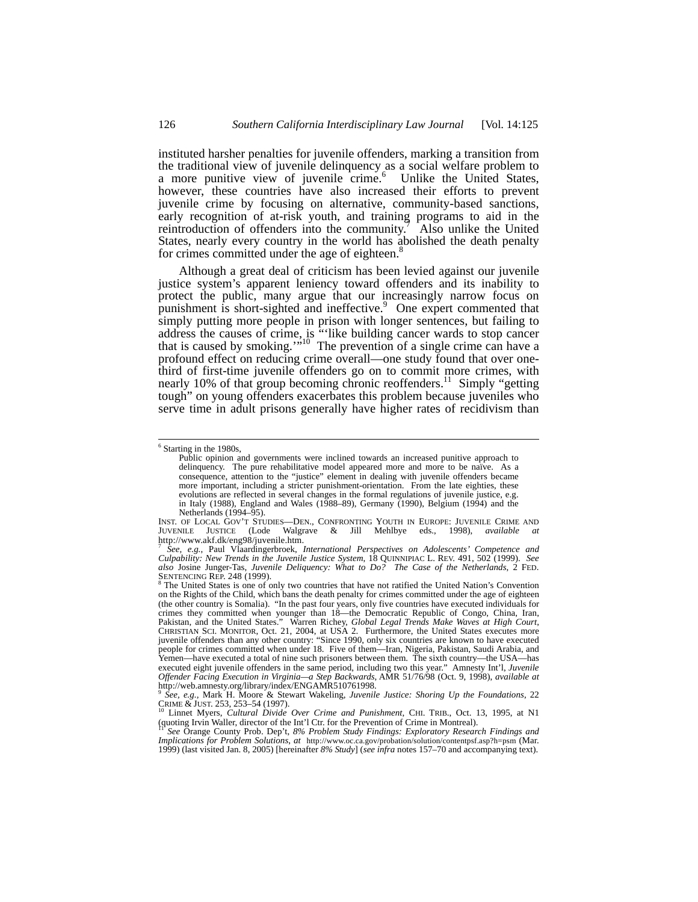instituted harsher penalties for juvenile offenders, marking a transition from the traditional view of juvenile delinquency as a social welfare problem to a more punitive view of juvenile crime.<sup>6</sup> Unlike the United States, however, these countries have also increased their efforts to prevent juvenile crime by focusing on alternative, community-based sanctions, early recognition of at-risk youth, and training programs to aid in the reintroduction of offenders into the community.<sup>7</sup> Also unlike the United States, nearly every country in the world has abolished the death penalty for crimes committed under the age of eighteen.<sup>8</sup>

Although a great deal of criticism has been levied against our juvenile justice system's apparent leniency toward offenders and its inability to protect the public, many argue that our increasingly narrow focus on punishment is short-sighted and ineffective.<sup>9</sup> One expert commented that simply putting more people in prison with longer sentences, but failing to address the causes of crime, is "'like building cancer wards to stop cancer that is caused by smoking."<sup>10</sup> The prevention of a single crime can have a profound effect on reducing crime overall—one study found that over onethird of first-time juvenile offenders go on to commit more crimes, with nearly 10% of that group becoming chronic reoffenders.<sup>11</sup> Simply "getting tough" on young offenders exacerbates this problem because juveniles who serve time in adult prisons generally have higher rates of recidivism than

 <sup>6</sup> Starting in the 1980s,

Public opinion and governments were inclined towards an increased punitive approach to delinquency. The pure rehabilitative model appeared more and more to be naïve. As a consequence, attention to the "justice" element in dealing with juvenile offenders became more important, including a stricter punishment-orientation. From the late eighties, these evolutions are reflected in several changes in the formal regulations of juvenile justice, e.g. in Italy (1988), England and Wales (1988–89), Germany (1990), Belgium (1994) and the Netherlands (1994–95).

INST. OF LOCAL GOV'T STUDIES—DEN., CONFRONTING YOUTH IN EUROPE: JUVENILE CRIME AND JUVENILE USTICE (Lode Walgrave & Jill Mehlbye eds., 1998), *available at* JUVENILE JUSTICE (Lode Walgrave & Jill Mehlbye eds., 1998), *available at* http://www.akf.dk/eng98/juvenile.htm.

<sup>7</sup> *See, e.g.*, Paul Vlaardingerbroek, *International Perspectives on Adolescents' Competence and Culpability: New Trends in the Juvenile Justice System*, 18 QUINNIPIAC L. REV. 491, 502 (1999). *See also* Josine Junger-Tas, *Juvenile Deliquency: What to Do? The Case of the Netherlands*, 2 FED. SENTENCING REP. 248 (1999).<br><sup>8</sup> The United States is one of only two countries that have not ratified the United Nation's Convention

on the Rights of the Child, which bans the death penalty for crimes committed under the age of eighteen (the other country is Somalia). "In the past four years, only five countries have executed individuals for crimes they committed when younger than 18—the Democratic Republic of Congo, China, Iran, Pakistan, and the United States." Warren Richey, *Global Legal Trends Make Waves at High Court*, CHRISTIAN SCI. MONITOR, Oct. 21, 2004, at USA 2. Furthermore, the United States executes more juvenile offenders than any other country: "Since 1990, only six countries are known to have executed people for crimes committed when under 18. Five of them—Iran, Nigeria, Pakistan, Saudi Arabia, and Yemen—have executed a total of nine such prisoners between them. The sixth country—the USA—has executed eight juvenile offenders in the same period, including two this year." Amnesty Int'l, *Juvenile Offender Facing Execution in Virginia—a Step Backwards*, AMR 51/76/98 (Oct. 9, 1998), *available at*

http://web.amnesty.org/library/index/ENGAMR510761998. <sup>9</sup> *See, e.g.,* Mark H. Moore & Stewart Wakeling, *Juvenile Justice: Shoring Up the Foundations*, 22

CRIME & JUST. 253, 253–54 (1997).<br><sup>10</sup> Linnet Myers, *Cultural Divide Over Crime and Punishment*, CHI. TRIB., Oct. 13, 1995, at N1 (quoting Irvin Waller, director of the Int'l Ctr. for the Prevention of Crime in Montreal).

<sup>(</sup>quoting Irvin Waller, director of the Int'l Ctr. for the Prevention of Crime in Montreal). 11 *See* Orange County Prob. Dep't, *8% Problem Study Findings: Exploratory Research Findings and Implications for Problem Solutions*, *at* http://www.oc.ca.gov/probation/solution/contentpsf.asp?h=psm (Mar. 1999) (last visited Jan. 8, 2005) [hereinafter *8% Study*] (*see infra* notes 157–70 and accompanying text).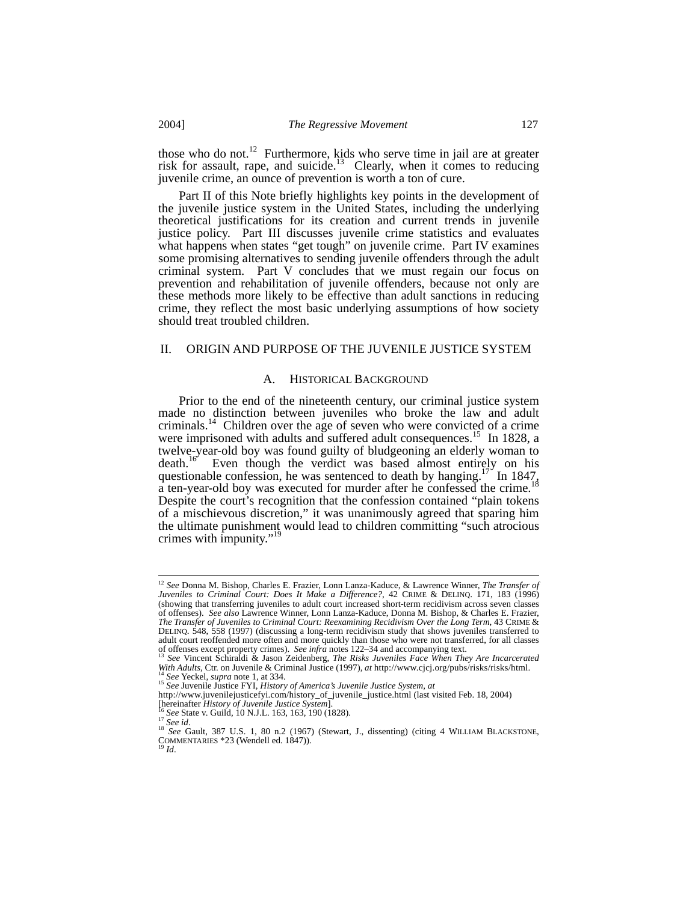those who do not.<sup>12</sup> Furthermore, kids who serve time in jail are at greater risk for assault, rape, and suicide.<sup>13</sup> Clearly, when it comes to reducing juvenile crime, an ounce of prevention is worth a ton of cure.

Part II of this Note briefly highlights key points in the development of the juvenile justice system in the United States, including the underlying theoretical justifications for its creation and current trends in juvenile justice policy.Part III discusses juvenile crime statistics and evaluates what happens when states "get tough" on juvenile crime. Part IV examines some promising alternatives to sending juvenile offenders through the adult criminal system. Part V concludes that we must regain our focus on prevention and rehabilitation of juvenile offenders, because not only are these methods more likely to be effective than adult sanctions in reducing crime, they reflect the most basic underlying assumptions of how society should treat troubled children.

#### II. ORIGIN AND PURPOSE OF THE JUVENILE JUSTICE SYSTEM

#### A. HISTORICAL BACKGROUND

Prior to the end of the nineteenth century, our criminal justice system made no distinction between juveniles who broke the law and adult criminals.<sup>14</sup> Children over the age of seven who were convicted of a crime were imprisoned with adults and suffered adult consequences.<sup>15</sup> In 1828, a twelve-year-old boy was found guilty of bludgeoning an elderly woman to death.<sup>16</sup> Even though the verdict was based almost entirely on his questionable confession, he was sentenced to death by hanging.<sup>17</sup> In 1847, a ten-year-old boy was executed for murder after he confessed the crime.<sup>1</sup> Despite the court's recognition that the confession contained "plain tokens of a mischievous discretion," it was unanimously agreed that sparing him the ultimate punishment would lead to children committing "such atrocious crimes with impunity."<sup>19</sup>

 <sup>12</sup> *See* Donna M. Bishop, Charles E. Frazier, Lonn Lanza-Kaduce, & Lawrence Winner, *The Transfer of Juveniles to Criminal Court: Does It Make a Difference?*, 42 CRIME & DELINQ. 171, 183 (1996) (showing that transferring juveniles to adult court increased short-term recidivism across seven classes of offenses). *See also* Lawrence Winner, Lonn Lanza-Kaduce, Donna M. Bishop, & Charles E. Frazier, *The Transfer of Juveniles to Criminal Court: Reexamining Recidivism Over the Long Term*, 43 CRIME & DELINQ. 548, 558 (1997) (discussing a long-term recidivism study that shows juveniles transferred to adult court reoffended more often and more quickly than those who were not transferred, for all classes

of offenses except property crimes). *See infra* notes 122–34 and accompanying text. 13 *See* Vincent Schiraldi & Jason Zeidenberg, *The Risks Juveniles Face When They Are Incarcerated* <sup>13</sup> *See* Vincent Schiraldi & Jason With Adults, Ctr. on Juvenile & Criminal Justice (1997), at http://www.cjcj.org/pubs/risks/risks/html.<br><sup>14</sup> See Yeckel, supra note 1, at 334.<br><sup>15</sup> See Juvenile Justice FYI, *History of America's Juvenile Justice System*, a

http://www.juvenilejusticefyi.com/history\_of\_juvenile\_justice.html (last visited Feb. 18, 2004)<br>[hereinafter History of Juvenile Justice System].

<sup>&</sup>lt;sup>17</sup> See State v. Guild, 10 N.J.L. 163, 163, 190 (1828).<br><sup>17</sup> See id.<br><sup>18</sup> See Gault, 387 U.S. 1, 80 n.2 (1967) (Stewart, J., dissenting) (citing 4 WILLIAM BLACKSTONE, COMMENTARIES \*23 (Wendell ed. 1847)).<br><sup>19</sup> *Id.*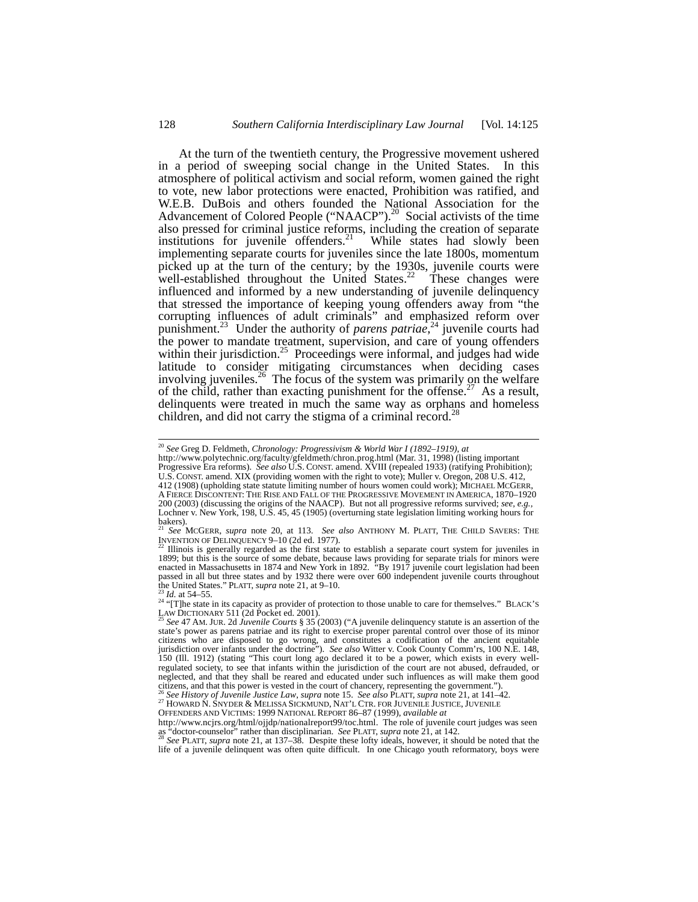At the turn of the twentieth century, the Progressive movement ushered in a period of sweeping social change in the United States. In this atmosphere of political activism and social reform, women gained the right to vote, new labor protections were enacted, Prohibition was ratified, and W.E.B. DuBois and others founded the National Association for the Advancement of Colored People ("NAACP").<sup>20</sup> Social activists of the time also pressed for criminal justice reforms, including the creation of separate institutions for juvenile offenders.<sup>21</sup> While states had slowly been institutions for juvenile offenders. $21$ implementing separate courts for juveniles since the late 1800s, momentum picked up at the turn of the century; by the 1930s, juvenile courts were well-established throughout the United States.<sup>22</sup> These changes were influenced and informed by a new understanding of juvenile delinquency that stressed the importance of keeping young offenders away from "the corrupting influences of adult criminals" and emphasized reform over punishment.23 Under the authority of *parens patriae*, 24 juvenile courts had the power to mandate treatment, supervision, and care of young offenders within their jurisdiction.<sup>25</sup> Proceedings were informal, and judges had wide latitude to consider mitigating circumstances when deciding cases involving juveniles.<sup>26</sup> The focus of the system was primarily on the welfare of the child, rather than exacting punishment for the offense.<sup>27</sup> As a result, delinquents were treated in much the same way as orphans and homeless children, and did not carry the stigma of a criminal record.<sup>28</sup>

http://www.polytechnic.org/faculty/gfeldmeth/chron.prog.html (Mar. 31, 1998) (listing important Progressive Era reforms). *See also* U.S. CONST. amend. XVIII (repealed 1933) (ratifying Prohibition);

OFFENDERS AND VICTIMS: 1999 NATIONAL REPORT 86–87 (1999), *available at*

http://www.ncjrs.org/html/ojjdp/nationalreport99/toc.html. The role of juvenile court judges was seen

 <sup>20</sup> *See* Greg D. Feldmeth, *Chronology: Progressivism & World War I (1892–1919)*, *at*

U.S. CONST. amend. XIX (providing women with the right to vote); Muller v. Oregon, 208 U.S. 412, 412 (1908) (upholding state statute limiting number of hours women could work); MICHAEL MCGERR A FIERCE DISCONTENT: THE RISE AND FALL OF THE PROGRESSIVE MOVEMENT IN AMERICA, 1870–1920 200 (2003) (discussing the origins of the NAACP). But not all progressive reforms survived; *see, e.g.,* Lochner v. New York, 198, U.S. 45, 45 (1905) (overturning state legislation limiting working hours for bakers).

<sup>21</sup> *See* MCGERR, *supra* note 20, at 113. *See also* ANTHONY M. PLATT, THE CHILD SAVERS: THE INVENTION OF DELINQUENCY 9–10 (2d ed. 1977).<br>
<sup>22</sup> Illinois is generally regarded as the first state to establish a separate court system for juveniles in

<sup>1899;</sup> but this is the source of some debate, because laws providing for separate trials for minors were enacted in Massachusetts in 1874 and New York in 1892. "By 1917 juvenile court legislation had been passed in all but three states and by 1932 there were over 600 independent juvenile courts throughout the United States." PLATT, *supra* note 21, at 9–10.

<sup>&</sup>lt;sup>23</sup> *Id.* at 54–55.<br><sup>24</sup> "[T]he state in its capacity as provider of protection to those unable to care for themselves." BLACK'S Law DICTIONARY 511 (2d Pocket ed. 2001).

See 47 AM. JUR. 2d *Juvenile Courts* § 35 (2003) ("A juvenile delinquency statute is an assertion of the state's power as parens patriae and its right to exercise proper parental control over those of its minor citizens who are disposed to go wrong, and constitutes a codification of the ancient equitable jurisdiction over infants under the doctrine"). *See also* Witter v. Cook County Comm'rs, 100 N.E. 148, 150 (Ill. 1912) (stating "This court long ago declared it to be a power, which exists in every wellregulated society, to see that infants within the jurisdiction of the court are not abused, defrauded, or neglected, and that they shall be reared and educated under such influences as will make them good citizens, and that this power is vested in the court of chancery, representing the government.").

<sup>&</sup>lt;sup>26</sup> See History of Juvenile Justice Law, supra note 15. See also PLATT, supra note 21, at 141–42.<br><sup>27</sup> HOWARD N. SNYDER & MELISSA SICKMUND, NAT'L CTR. FOR JUVENILE JUSTICE, JUVENILE

as "doctor-counselor" rather than disciplinarian. *See PLATT, supra* note 21, at 142.<br><sup>28</sup> *See PLATT, supra* note 21, at 137–38. Despite these lofty ideals, however, it should be noted that the life of a juvenile delinquent was often quite difficult. In one Chicago youth reformatory, boys were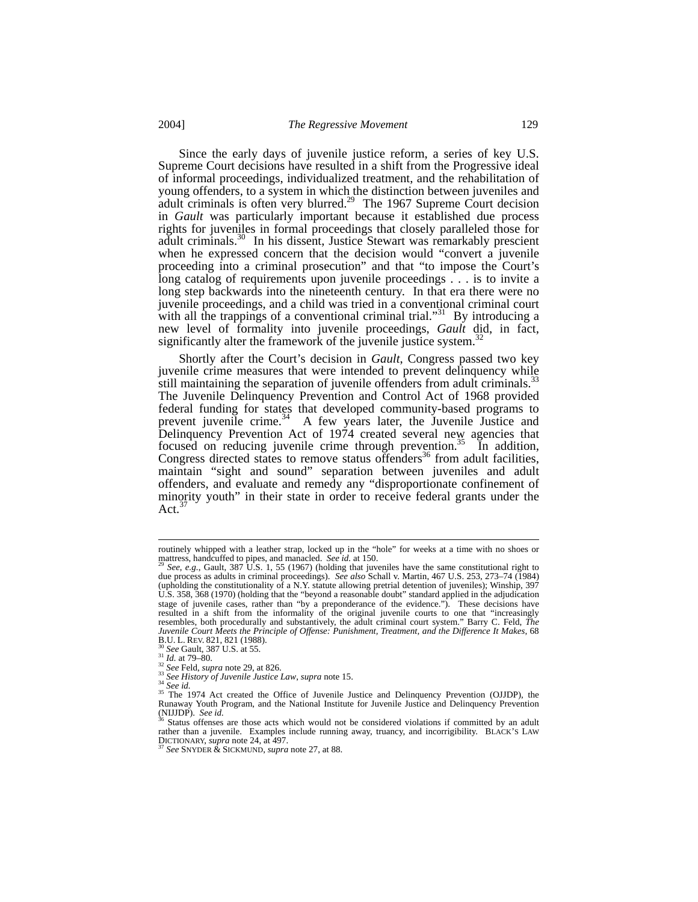Since the early days of juvenile justice reform, a series of key U.S. Supreme Court decisions have resulted in a shift from the Progressive ideal of informal proceedings, individualized treatment, and the rehabilitation of young offenders, to a system in which the distinction between juveniles and adult criminals is often very blurred.<sup>29</sup> The 1967 Supreme Court decision in *Gault* was particularly important because it established due process rights for juveniles in formal proceedings that closely paralleled those for adult criminals.<sup>30</sup> In his dissent, Justice Stewart was remarkably prescient when he expressed concern that the decision would "convert a juvenile proceeding into a criminal prosecution" and that "to impose the Court's long catalog of requirements upon juvenile proceedings . . . is to invite a long step backwards into the nineteenth century. In that era there were no juvenile proceedings, and a child was tried in a conventional criminal court with all the trappings of a conventional criminal trial."<sup>31</sup> By introducing a new level of formality into juvenile proceedings, *Gault* did, in fact, significantly alter the framework of the juvenile justice system. $32$ 

Shortly after the Court's decision in *Gault*, Congress passed two key juvenile crime measures that were intended to prevent delinquency while still maintaining the separation of juvenile offenders from adult criminals.<sup>33</sup> The Juvenile Delinquency Prevention and Control Act of 1968 provided federal funding for states that developed community-based programs to prevent juvenile crime.<sup>34</sup> A few years later, the Juvenile Justice and Delinquency Prevention Act of 1974 created several new agencies that focused on reducing juvenile crime through prevention.<sup>35</sup> In addition, Congress directed states to remove status offenders<sup>36</sup> from adult facilities, maintain "sight and sound" separation between juveniles and adult offenders, and evaluate and remedy any "disproportionate confinement of minority youth" in their state in order to receive federal grants under the Act. $37$ 

routinely whipped with a leather strap, locked up in the "hole" for weeks at a time with no shoes or mattress, handcuffed to pipes, and manacled. See id. at 150.

See, e.g., Gault, 387 U.S. 1, 55 (1967) (holding that juveniles have the same constitutional right to due process as adults in criminal proceedings). *See also* Schall v. Martin, 467 U.S. 253, 273–74 (1984) (upholding the constitutionality of a N.Y. statute allowing pretrial detention of juveniles); Winship, 397 U.S. 358, 368 (1970) (holding that the "beyond a reasonable doubt" standard applied in the adjudication stage of juvenile cases, rather than "by a preponderance of the evidence."). These decisions have resulted in a shift from the informality of the original juvenile courts to one that "increasingly resembles, both procedurally and substantively, the adult criminal court system." Barry C. Feld, *The Juvenile Court Meets the Principle of Offense: Punishment, Treatment, and the Difference It Makes*, 68

<sup>&</sup>lt;sup>30</sup> See Gault, 387 U.S. at 55.<br>
<sup>32</sup> See Feld, supra note 29, at 826.<br>
<sup>32</sup> See Feld, supra note 29, at 826.<br>
<sup>33</sup> See History of Juvenile Justice Law, supra note 15.<br>
<sup>34</sup> See id.<br>
<sup>35</sup> The 1974 Act created the Office o Runaway Youth Program, and the National Institute for Juvenile Justice and Delinquency Prevention ( $_{N}^{N}$ LIJDP). See id.

Status offenses are those acts which would not be considered violations if committed by an adult rather than a juvenile. Examples include running away, truancy, and incorrigibility. BLACK'S LAW DICTIONARY, *supra* note 24, at 497. 37 *See* SNYDER & SICKMUND, *supra* note 27, at 88.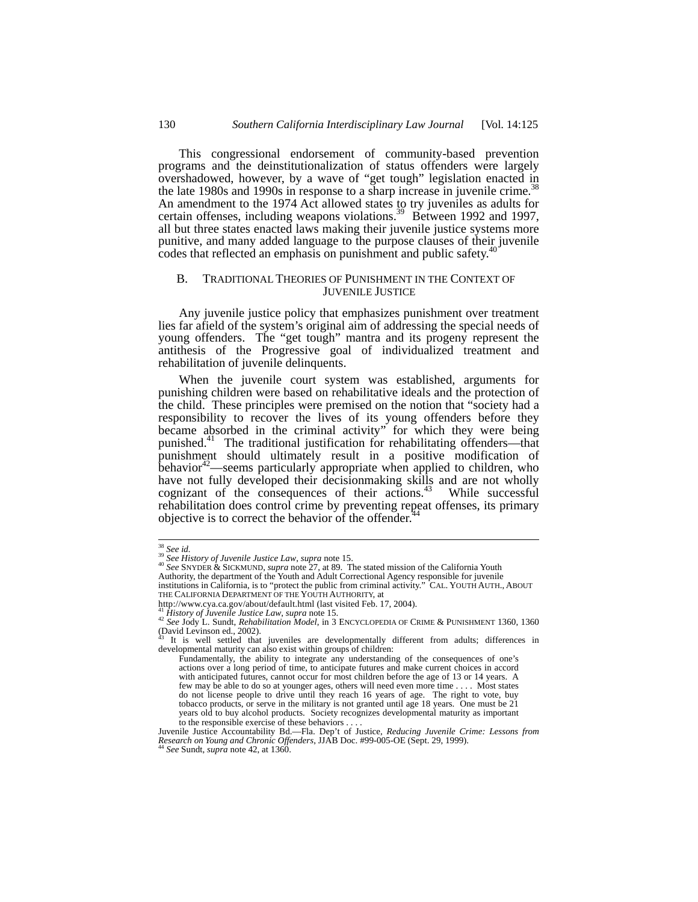This congressional endorsement of community-based prevention programs and the deinstitutionalization of status offenders were largely overshadowed, however, by a wave of "get tough" legislation enacted in the late 1980s and 1990s in response to a sharp increase in juvenile crime.<sup>38</sup> An amendment to the 1974 Act allowed states to try juveniles as adults for certain offenses, including weapons violations.<sup>39</sup> Between 1992 and 1997, all but three states enacted laws making their juvenile justice systems more punitive, and many added language to the purpose clauses of their juvenile codes that reflected an emphasis on punishment and public safety.<sup>4</sup>

#### B. TRADITIONAL THEORIES OF PUNISHMENT IN THE CONTEXT OF JUVENILE JUSTICE

Any juvenile justice policy that emphasizes punishment over treatment lies far afield of the system's original aim of addressing the special needs of young offenders. The "get tough" mantra and its progeny represent the antithesis of the Progressive goal of individualized treatment and rehabilitation of juvenile delinquents.

When the juvenile court system was established, arguments for punishing children were based on rehabilitative ideals and the protection of the child. These principles were premised on the notion that "society had a responsibility to recover the lives of its young offenders before they became absorbed in the criminal activity" for which they were being punished.41 The traditional justification for rehabilitating offenders—that punishment should ultimately result in a positive modification of behavior<sup>42</sup>—seems particularly appropriate when applied to children, who have not fully developed their decisionmaking skills and are not wholly cognizant of the consequences of their actions.<sup>43</sup> While successful rehabilitation does control crime by preventing repeat offenses, its primary objective is to correct the behavior of the offender. $44$ 

<sup>&</sup>lt;sup>38</sup> See id.<br><sup>39</sup> See History of Juvenile Justice Law, supra note 15.<br><sup>40</sup> See SNYDER & SICKMUND, supra note 27, at 89. The stated mission of the California Youth<br>Authority, the department of the Youth and Adult Correction

institutions in California, is to "protect the public from criminal activity." CAL. YOUTH AUTH., ABOUT THE CALIFORNIA DEPARTMENT OF THE YOUTH AUTHORITY, at

http://www.cya.ca.gov/about/default.html (last visited Feb. 17, 2004).<br><sup>41</sup> History of Juvenile Justice Law, supra note 15.

<sup>&</sup>lt;sup>21</sup> See Jody L. Sundt, *Rehabilitation Model*, in 3 ENCYCLOPEDIA OF CRIME & PUNISHMENT 1360, 1360 (David Levinson ed., 2002).

<sup>43</sup> It is well settled that juveniles are developmentally different from adults; differences in developmental maturity can also exist within groups of children:

Fundamentally, the ability to integrate any understanding of the consequences of one's actions over a long period of time, to anticipate futures and make current choices in accord with anticipated futures, cannot occur for most children before the age of 13 or 14 years. A few may be able to do so at younger ages, others will need even more time . . . . Most states do not license people to drive until they reach 16 years of age. The right to vote, buy tobacco products, or serve in the military is not granted until age 18 years. One must be 21 years old to buy alcohol products. Society recognizes developmental maturity as important to the responsible exercise of these behaviors .

Juvenile Justice Accountability Bd.—Fla. Dep't of Justice, *Reducing Juvenile Crime: Lessons from* Research on Young and Chronic Offenders, JJAB Doc. #99-005-OE (Sept. 29, 1999).<br><sup>44</sup> See Sundt, supra note 42, at 1360.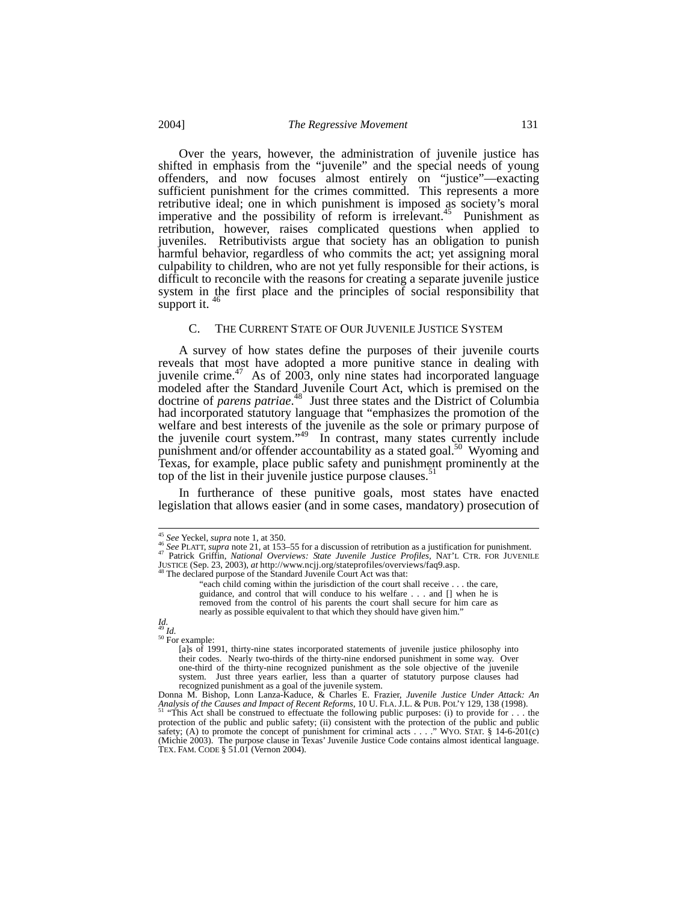Over the years, however, the administration of juvenile justice has shifted in emphasis from the "juvenile" and the special needs of young offenders, and now focuses almost entirely on "justice"—exacting sufficient punishment for the crimes committed. This represents a more retributive ideal; one in which punishment is imposed as society's moral imperative recent, one in which permanation is imposed as society of mortal imperative and the possibility of reform is irrelevant.<sup>45</sup> Punishment as retribution, however, raises complicated questions when applied to juveniles. Retributivists argue that society has an obligation to punish harmful behavior, regardless of who commits the act; yet assigning moral culpability to children, who are not yet fully responsible for their actions, is difficult to reconcile with the reasons for creating a separate juvenile justice system in the first place and the principles of social responsibility that support it.  $40$ 

#### C. THE CURRENT STATE OF OUR JUVENILE JUSTICE SYSTEM

A survey of how states define the purposes of their juvenile courts reveals that most have adopted a more punitive stance in dealing with juvenile crime. $47$  As of 2003, only nine states had incorporated language modeled after the Standard Juvenile Court Act, which is premised on the doctrine of *parens patriae*. 48 Just three states and the District of Columbia had incorporated statutory language that "emphasizes the promotion of the welfare and best interests of the juvenile as the sole or primary purpose of the juvenile court system."<sup>49</sup> In contrast, many states currently include punishment and/or offender accountability as a stated goal.<sup>50</sup> Wyoming and Texas, for example, place public safety and punishment prominently at the top of the list in their juvenile justice purpose clauses.<sup>51</sup>

In furtherance of these punitive goals, most states have enacted legislation that allows easier (and in some cases, mandatory) prosecution of

TEX. FAM. CODE § 51.01 (Vernon 2004).

*Id.* 

<sup>&</sup>lt;sup>45</sup> See Yeckel, supra note 1, at 350.<br><sup>46</sup> See PLATT, supra note 21, at 153–55 for a discussion of retribution as a justification for punishment.<br><sup>47</sup> Patrick Griffin, *National Overviews: State Juvenile Justice Profiles* JUSTICE (Sep. 23, 2003), *at* http://www.ncjj.org/stateprofiles/overviews/faq9.asp. 48 The declared purpose of the Standard Juvenile Court Act was that:

<sup>&</sup>quot;each child coming within the jurisdiction of the court shall receive . . . the care, guidance, and control that will conduce to his welfare . . . and [] when he is removed from the control of his parents the court shall secure for him care as nearly as possible equivalent to that which they should have given him.'

<sup>&</sup>lt;sup>50</sup> For example:

<sup>[</sup>a]s of 1991, thirty-nine states incorporated statements of juvenile justice philosophy into their codes. Nearly two-thirds of the thirty-nine endorsed punishment in some way. Over one-third of the thirty-nine recognized punishment as the sole objective of the juvenile system. Just three years earlier, less than a quarter of statutory purpose clauses had recognized punishment as a goal of the juvenile system.

Donna M. Bishop, Lonn Lanza-Kaduce, & Charles E. Frazier, *Juvenile Justice Under Attack: An Analysis of the Causes and Impact of Recent Reforms*, 10 U. FLA. J.L. & PUB. POL'Y 129, 138 (1998). <sup>51</sup> "This Act shall be construed to effectuate the following public purposes: (i) to provide for . . . the protection of the public and public safety; (ii) consistent with the protection of the public and public safety; (A) to promote the concept of punishment for criminal acts . . . ." WYO. STAT. § 14-6-201(c) (Michie 2003). The purpose clause in Texas' Juvenile Justice Code contains almost identical language.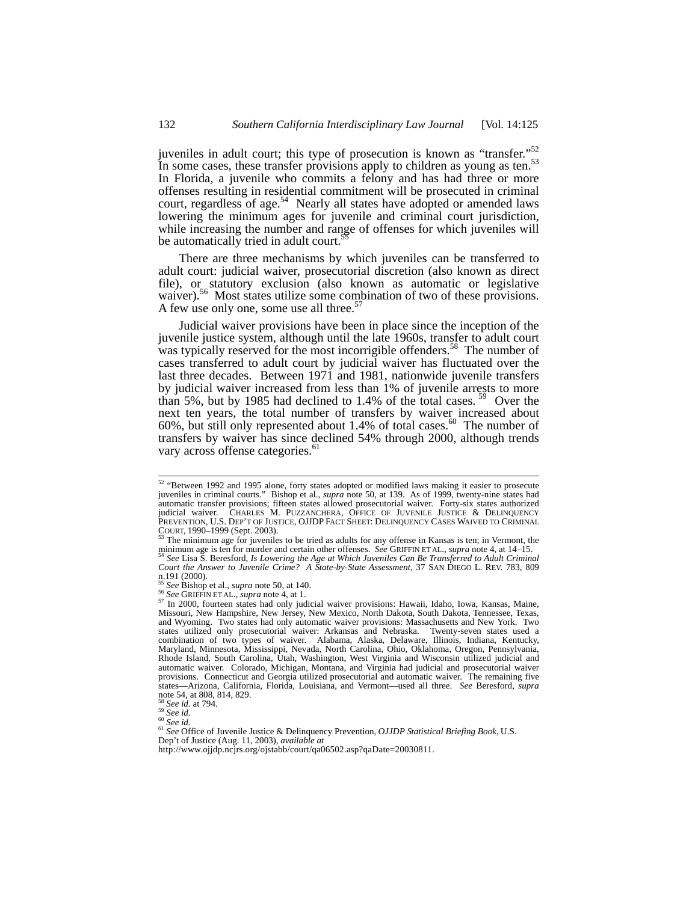juveniles in adult court; this type of prosecution is known as "transfer."<sup>52</sup> In some cases, these transfer provisions apply to children as young as ten.<sup>53</sup> In Florida, a juvenile who commits a felony and has had three or more offenses resulting in residential commitment will be prosecuted in criminal court, regardless of age.<sup>54</sup> Nearly all states have adopted or amended laws lowering the minimum ages for juvenile and criminal court jurisdiction, while increasing the number and range of offenses for which juveniles will be automatically tried in adult court.<sup>5</sup>

There are three mechanisms by which juveniles can be transferred to adult court: judicial waiver, prosecutorial discretion (also known as direct file), or statutory exclusion (also known as automatic or legislative waiver).<sup>56</sup> Most states utilize some combination of two of these provisions. A few use only one, some use all three.<sup>5</sup>

Judicial waiver provisions have been in place since the inception of the juvenile justice system, although until the late 1960s, transfer to adult court was typically reserved for the most incorrigible offenders.<sup>58</sup> The number of cases transferred to adult court by judicial waiver has fluctuated over the last three decades. Between 1971 and 1981, nationwide juvenile transfers by judicial waiver increased from less than 1% of juvenile arrests to more than 5%, but by 1985 had declined to 1.4% of the total cases.<sup>59</sup> Over the next ten years, the total number of transfers by waiver increased about 60%, but still only represented about 1.4% of total cases.<sup>60</sup> The number of transfers by waiver has since declined 54% through 2000, although trends vary across offense categories.<sup>61</sup>

<sup>&</sup>lt;sup>52</sup> "Between 1992 and 1995 alone, forty states adopted or modified laws making it easier to prosecute juveniles in criminal courts." Bishop et al., *supra* note 50, at 139. As of 1999, twenty-nine states had automatic transfer provisions; fifteen states allowed prosecutorial waiver. Forty-six states authorized judicial waiver. CHARLES M. PUZZANCHERA, OFFICE OF JUVENILE JUSTICE & DELINQUENCY<br>PREVENTION, U.S. DEP'T OF JUSTICE, OJJDP FACT SHEET: DELINQUENCY CASES WAIVED TO CRIMINAL COURT, 1990–1999 (Sept. 2003). The minimum age for juveniles to be tried as adults for any offense in Kansas is ten; in Vermont, the

minimum age is ten for murder and certain other offenses. See GRIFFIN ET AL., supra note 4, at  $14-15$ .<br><sup>54</sup> See Lisa S. Beresford, Is Lowering the Age at Which Juveniles Can Be Transferred to Adult Criminal

*Court the Answer to Juvenile Crime? A State-by-State Assessment*, 37 SAN DIEGO L. REV. 783, 809 n.191 (2000).<br><sup>55</sup> See Bishop et al., *supra* note 50, at 140.

<sup>55</sup> *See* Bishop et al., *supra* note 50, at 140. 56 *See* GRIFFIN ET AL., *supra* note 4, at 1. 57 In 2000, fourteen states had only judicial waiver provisions: Hawaii, Idaho, Iowa, Kansas, Maine, Missouri, New Hampshire, New Jersey, New Mexico, North Dakota, South Dakota, Tennessee, Texas, and Wyoming. Two states had only automatic waiver provisions: Massachusetts and New York. Two states utilized only prosecutorial waiver: Arkansas and Nebraska. Twenty-seven states used a combination of two types of waiver. Alabama, Alaska, Delaware, Illinois, Indiana, Kentucky, Maryland, Minnesota, Mississippi, Nevada, North Carolina, Ohio, Oklahoma, Oregon, Pennsylvania, Rhode Island, South Carolina, Utah, Washington, West Virginia and Wisconsin utilized judicial and automatic waiver. Colorado, Michigan, Montana, and Virginia had judicial and prosecutorial waiver provisions. Connecticut and Georgia utilized prosecutorial and automatic waiver. The remaining five states—Arizona, California, Florida, Louisiana, and Vermont—used all three. *See* Beresford, *supra* note 54, at 808, 814, 829.<br><sup>58</sup> *See id.* at 794.<br><sup>59</sup> *See id.*<br>60 *See id.* 

<sup>&</sup>lt;sup>61</sup> *See Gffice of Juvenile Justice & Delinquency Prevention, <i>OJJDP Statistical Briefing Book*, U.S. Dep't of Justice (Aug. 11, 2003), *available at* 

http://www.ojjdp.ncjrs.org/ojstabb/court/qa06502.asp?qaDate=20030811.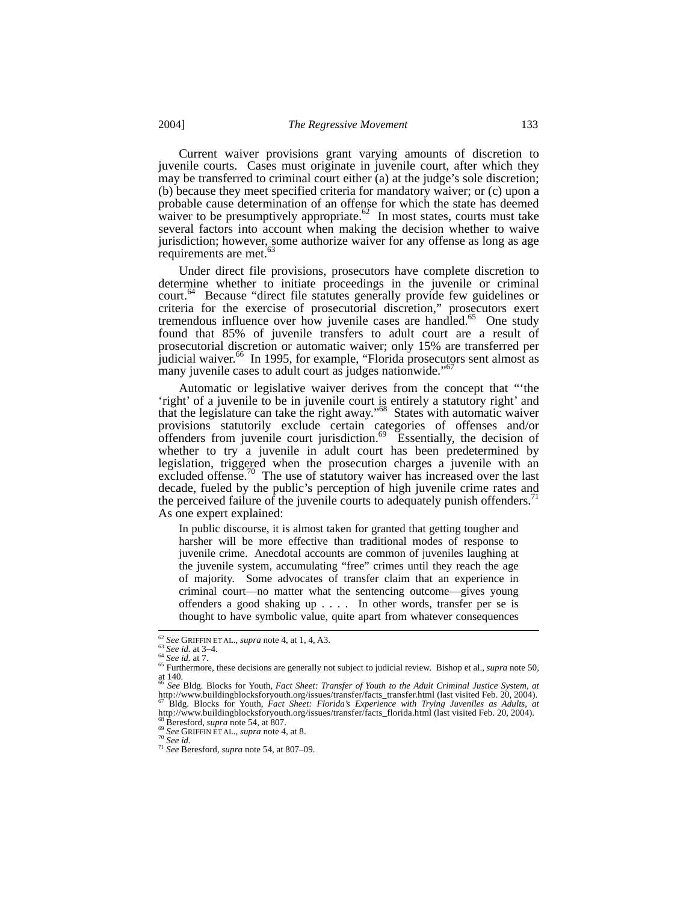Current waiver provisions grant varying amounts of discretion to juvenile courts. Cases must originate in juvenile court, after which they may be transferred to criminal court either (a) at the judge's sole discretion; (b) because they meet specified criteria for mandatory waiver; or (c) upon a probable cause determination of an offense for which the state has deemed waiver to be presumptively appropriate. $62 \text{ In most states, courts must take}$ several factors into account when making the decision whether to waive jurisdiction; however, some authorize waiver for any offense as long as age requirements are met.<sup>4</sup>

Under direct file provisions, prosecutors have complete discretion to determine whether to initiate proceedings in the juvenile or criminal court.<sup>64</sup> Because "direct file statutes generally provide few guidelines or criteria for the exercise of prosecutorial discretion," prosecutors exert tremendous influence over how juvenile cases are handled.<sup>65</sup> One study found that 85% of juvenile transfers to adult court are a result of prosecutorial discretion or automatic waiver; only 15% are transferred per judicial waiver.66 In 1995, for example, "Florida prosecutors sent almost as many juvenile cases to adult court as judges nationwide."<sup>6</sup>

Automatic or legislative waiver derives from the concept that "'the 'right' of a juvenile to be in juvenile court is entirely a statutory right' and that the legislature can take the right away."68 States with automatic waiver provisions statutorily exclude certain categories of offenses and/or offenders from juvenile court jurisdiction.<sup>69</sup> Essentially, the decision of whether to try a juvenile in adult court has been predetermined by legislation, triggered when the prosecution charges a juvenile with an excluded offense.<sup>70</sup> The use of statutory waiver has increased over the last decade, fueled by the public's perception of high juvenile crime rates and the perceived failure of the juvenile courts to adequately punish offenders.<sup>11</sup> As one expert explained:

In public discourse, it is almost taken for granted that getting tougher and harsher will be more effective than traditional modes of response to juvenile crime. Anecdotal accounts are common of juveniles laughing at the juvenile system, accumulating "free" crimes until they reach the age of majority. Some advocates of transfer claim that an experience in criminal court—no matter what the sentencing outcome—gives young offenders a good shaking up . . . . In other words, transfer per se is thought to have symbolic value, quite apart from whatever consequences

<sup>&</sup>lt;sup>62</sup> See GRIFFIN ET AL., *supra* note 4, at 1, 4, A3.<br><sup>63</sup> See id. at 3–4.<br><sup>64</sup> See id. at 7.<br><sup>64</sup> See id. at 7.<br><sup>64</sup> See id. at 7. at 140. <sup>66</sup> *See* Bldg. Blocks for Youth, *Fact Sheet: Transfer of Youth to the Adult Criminal Justice System*, *at*

http://www.buildingblocksforyouth.org/issues/transfer/facts\_transfer.html (last visited Feb. 20, 2004). 67 Bldg. Blocks for Youth, *Fact Sheet: Florida's Experience with Trying Juveniles as Adults*, *at* http://www.buildingblocksforyouth.org/issues/transfer/facts\_florida.html (last visited Feb. 20, 2004).<br><sup>68</sup> Beresford, *su* 

<sup>68</sup> Beresford, *supra* note 54, at 807. 69 *See* GRIFFIN ET AL., *supra* note 4, at 8. 70 *See id.* <sup>71</sup> *See* Beresford, *supra* note 54, at 807–09.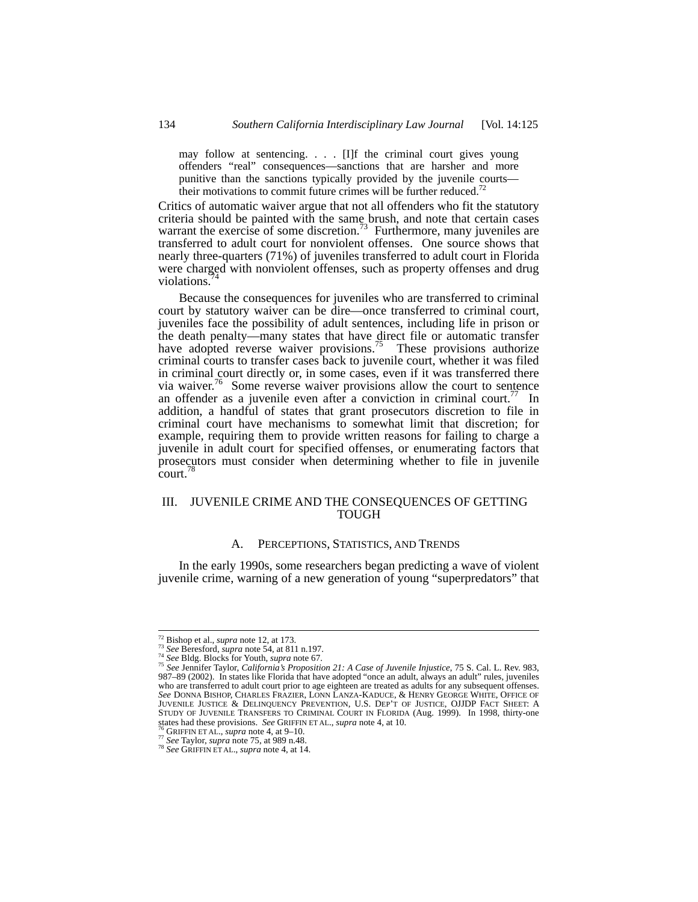may follow at sentencing. . . . [I]f the criminal court gives young offenders "real" consequences—sanctions that are harsher and more punitive than the sanctions typically provided by the juvenile courts their motivations to commit future crimes will be further reduced.<sup>72</sup>

Critics of automatic waiver argue that not all offenders who fit the statutory criteria should be painted with the same brush, and note that certain cases warrant the exercise of some discretion.<sup>73</sup> Furthermore, many juveniles are transferred to adult court for nonviolent offenses. One source shows that nearly three-quarters (71%) of juveniles transferred to adult court in Florida were charged with nonviolent offenses, such as property offenses and drug violations.

Because the consequences for juveniles who are transferred to criminal court by statutory waiver can be dire—once transferred to criminal court, juveniles face the possibility of adult sentences, including life in prison or the death penalty—many states that have direct file or automatic transfer have adopted reverse waiver provisions.<sup>75</sup> These provisions authorize criminal courts to transfer cases back to juvenile court, whether it was filed in criminal court directly or, in some cases, even if it was transferred there via waiver.<sup>76</sup> Some reverse waiver provisions allow the court to sentence an offender as a juvenile even after a conviction in criminal court.<sup>77</sup> In addition, a handful of states that grant prosecutors discretion to file in criminal court have mechanisms to somewhat limit that discretion; for example, requiring them to provide written reasons for failing to charge a juvenile in adult court for specified offenses, or enumerating factors that prosecutors must consider when determining whether to file in juvenile  $\text{court.}^{\prime\text{8}}$ 

## III. JUVENILE CRIME AND THE CONSEQUENCES OF GETTING TOUGH

## A. PERCEPTIONS, STATISTICS, AND TRENDS

In the early 1990s, some researchers began predicting a wave of violent juvenile crime, warning of a new generation of young "superpredators" that

<sup>&</sup>lt;sup>72</sup> Bishop et al., *supra* note 12, at 173.<br><sup>73</sup> See Beresford, *supra* note 54, at 811 n.197.<br><sup>74</sup> See Bldg. Blocks for Youth, *supra* note 67.<br><sup>75</sup> See Jennifer Taylor, *California's Proposition 21: A Case of Juvenile* 987–89 (2002). In states like Florida that have adopted "once an adult, always an adult" rules, juveniles who are transferred to adult court prior to age eighteen are treated as adults for any subsequent offenses. *See* DONNA BISHOP, CHARLES FRAZIER, LONN LANZA-KADUCE, & HENRY GEORGE WHITE, OFFICE OF JUVENILE JUSTICE & DELINQUENCY PREVENTION, U.S. DEP'T OF JUSTICE, OJJDP FACT SHEET: A STUDY OF JUVENILE TRANSFERS TO CRIMINAL COURT IN FLORIDA (Aug. 1999). In 1998, thirty-one states had these provisions. *See* GRIFFIN ET AL., *supra* note 4, at 10.<br><sup>76</sup> GRIFFIN ET AL., *supra* note 4, at 9–10.<br><sup>77</sup> See Taylor, *supra* note 75, at 989 n.48.<br><sup>78</sup> See GRIFFIN ET AL., *supra* note 4, at 14.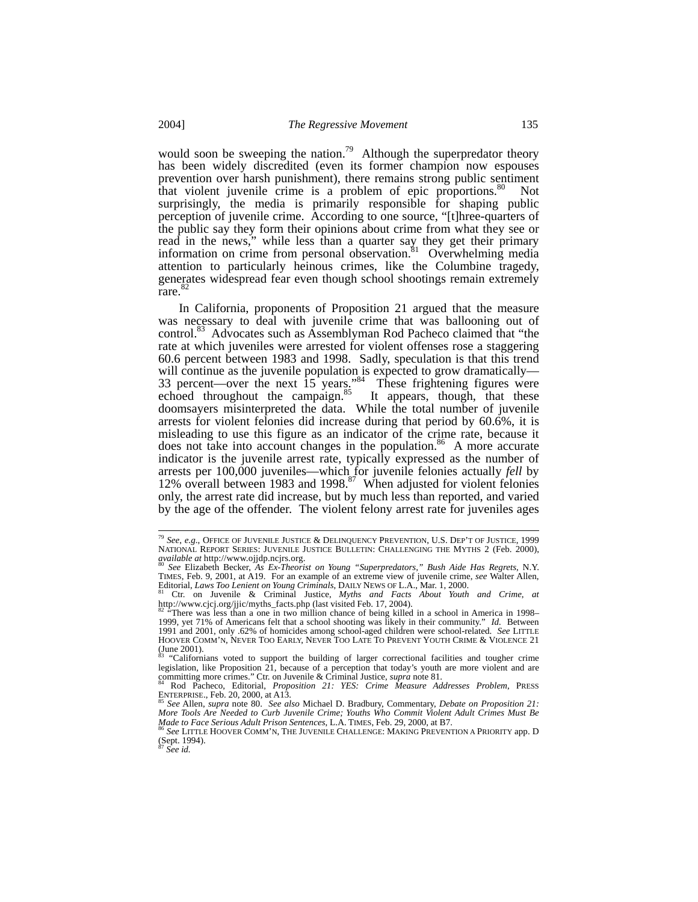would soon be sweeping the nation.<sup>79</sup> Although the superpredator theory has been widely discredited (even its former champion now espouses prevention over harsh punishment), there remains strong public sentiment that violent juvenile crime is a problem of epic proportions. $\delta^{0}$  Not surprisingly, the media is primarily responsible for shaping public perception of juvenile crime. According to one source, "[t]hree-quarters of the public say they form their opinions about crime from what they see or read in the news," while less than a quarter say they get their primary information on crime from personal observation.<sup>81</sup> Overwhelming media attention to particularly heinous crimes, like the Columbine tragedy, generates widespread fear even though school shootings remain extremely rare.<sup>82</sup>

In California, proponents of Proposition 21 argued that the measure was necessary to deal with juvenile crime that was ballooning out of control.<sup>83</sup> Advocates such as Assemblyman Rod Pacheco claimed that "the rate at which juveniles were arrested for violent offenses rose a staggering 60.6 percent between 1983 and 1998. Sadly, speculation is that this trend will continue as the juvenile population is expected to grow dramatically— 33 percent—over the next  $15$  years.<sup>84</sup> These frightening figures were echoed throughout the campaign. $85$  It appears, though, that these doomsayers misinterpreted the data. While the total number of juvenile arrests for violent felonies did increase during that period by 60.6%, it is misleading to use this figure as an indicator of the crime rate, because it does not take into account changes in the population.<sup>86</sup> A more accurate indicator is the juvenile arrest rate, typically expressed as the number of arrests per 100,000 juveniles—which for juvenile felonies actually *fell* by 12% overall between 1983 and 1998.<sup>87</sup> When adjusted for violent felonies only, the arrest rate did increase, but by much less than reported, and varied by the age of the offender. The violent felony arrest rate for juveniles ages

 <sup>79</sup> *See*, *e.g*., OFFICE OF JUVENILE JUSTICE & DELINQUENCY PREVENTION, U.S. DEP'T OF JUSTICE, <sup>1999</sup> NATIONAL REPORT SERIES: JUVENILE JUSTICE BULLETIN: CHALLENGING THE MYTHS 2 (Feb. 2000), *gyailable at* http://www.ojjdp.ncjrs.org.

available at http://www.ojjdp.ncjrs.org.<br><sup>80</sup> See Elizabeth Becker, *As Ex-Theorist on Young "Superpredators," Bush Aide Has Regrets*, N.Y.<br>TIMES, Feb. 9, 2001, at A19. For an example of an extreme view of juvenile crime,

Editorial, *Laws Too Lenient on Young Criminals*, DAILY NEWS OF L.A., Mar. 1, 2000.<br><sup>81</sup> Ctr. on Juvenile & Criminal Justice, *Myths and Facts About Youth and Crime*, *at* http://www.cjcj.org/jjic/myths\_facts.php (last vis

<sup>1999,</sup> yet 71% of Americans felt that a school shooting was likely in their community." *Id.* Between 1991 and 2001, only .62% of homicides among school-aged children were school-related. *See* LITTLE HOOVER COMM'N, NEVER TOO EARLY, NEVER TOO LATE TO PREVENT YOUTH CRIME & VIOLENCE 21  $\lim_{83 \to 62} 2001$ .

<sup>83 &</sup>quot;Californians voted to support the building of larger correctional facilities and tougher crime legislation, like Proposition 21, because of a perception that today's youth are more violent and are

committing more crimes." Ctr. on Juvenile & Criminal Justice, *supra* note 81.<br><sup>84</sup> Rod Pacheco, Editorial, *Proposition 21: YES: Crime Measure Addresses Problem*, PRESS Execution, FRESS Section 2000, at A13.

ENTERPRISE., Feb. 20, 2000, at A13. 85 *See* Allen, *supra* note 80. *See also* Michael D. Bradbury, Commentary, *Debate on Proposition 21: More Tools Are Needed to Curb Juvenile Crime; Youths Who Commit Violent Adult Crimes Must Be Made to Face Serious Adult Prison Sentences*, L.A. TIMES, Feb. 29, 2000, at B7. 86 *See* LITTLE HOOVER COMM'N, THE JUVENILE CHALLENGE: MAKING PREVENTION A PRIORITY app. D

<sup>(</sup>Sept. 1994).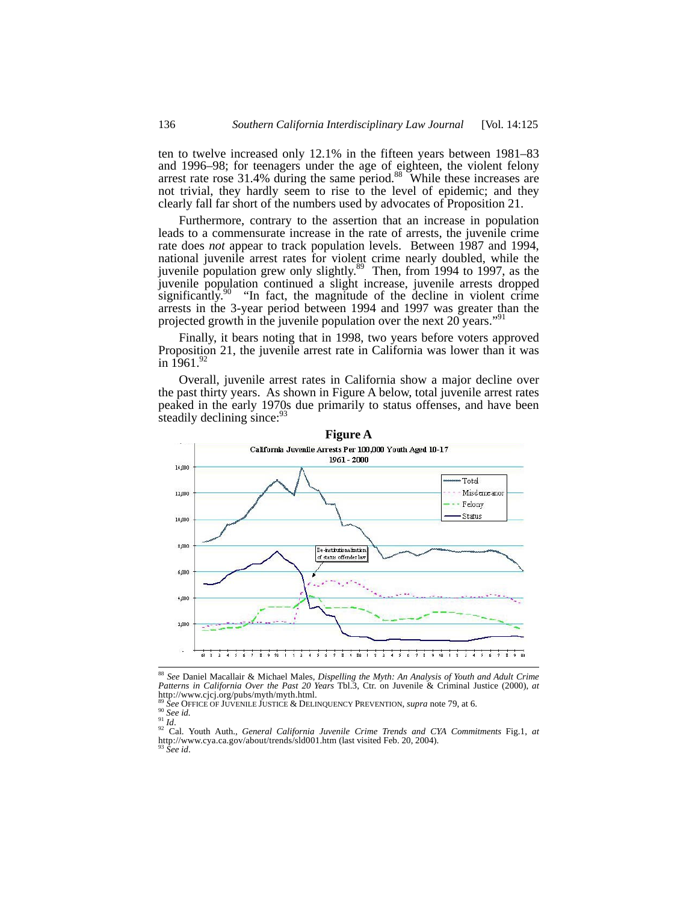ten to twelve increased only 12.1% in the fifteen years between 1981–83 and 1996–98; for teenagers under the age of eighteen, the violent felony arrest rate rose 31.4% during the same period.<sup>88</sup> While these increases are not trivial, they hardly seem to rise to the level of epidemic; and they clearly fall far short of the numbers used by advocates of Proposition 21.

Furthermore, contrary to the assertion that an increase in population leads to a commensurate increase in the rate of arrests, the juvenile crime rate does *not* appear to track population levels. Between 1987 and 1994, national juvenile arrest rates for violent crime nearly doubled, while the juvenile population grew only slightly.<sup>89</sup> Then, from 1994 to 1997, as the juvenile population continued a slight increase, juvenile arrests dropped significantly.<sup>90</sup> "In fact, the magnitude of the decline in violent crime arrests in the 3-year period between 1994 and 1997 was greater than the projected growth in the juvenile population over the next 20 years."<sup>91</sup>

Finally, it bears noting that in 1998, two years before voters approved Proposition 21, the juvenile arrest rate in California was lower than it was in  $1961.<sup>92</sup>$ 

Overall, juvenile arrest rates in California show a major decline over the past thirty years. As shown in Figure A below, total juvenile arrest rates peaked in the early 1970s due primarily to status offenses, and have been steadily declining since:<sup>93</sup>



<sup>&</sup>lt;sup>88</sup> See Daniel Macallair & Michael Males, *Dispelling the Myth: An Analysis of Youth and Adult Crime*<br>P*atterns in California Over the Past 20 Years T*bl.3, Ctr. on Juvenile & Criminal Justice (2000), *at* http://www.cjcj.org/pubs/myth/myth.html.<br><sup>89</sup> See OFFICE OF JUVENILE JUSTICE & DELINQUENCY PREVENTION, *supra* note 79, at 6.

<sup>90</sup> See id.<br>
92 Cal. Youth Auth., *General California Juvenile Crime Trends and CYA Commitments* Fig.1, *at*<br>
92 Cal. Youth Auth., *General California Juvenile Crime Trends and CYA Commitments* Fig.1, *at*<br>
83 See id.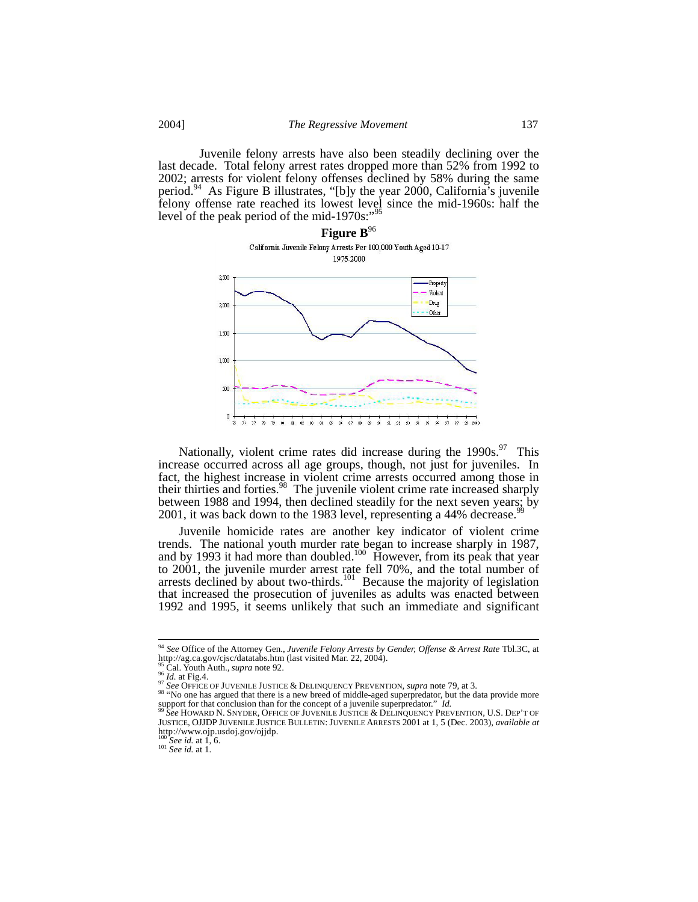Juvenile felony arrests have also been steadily declining over the last decade. Total felony arrest rates dropped more than 52% from 1992 to 2002; arrests for violent felony offenses declined by 58% during the same period.<sup>94</sup> As Figure B illustrates, "[b]y the year 2000, California's juvenile felony offense rate reached its lowest level since the mid-1960s: half the level of the peak period of the mid-1970s:"<sup>95</sup>



Nationally, violent crime rates did increase during the  $1990s^{97}$  This increase occurred across all age groups, though, not just for juveniles. In fact, the highest increase in violent crime arrests occurred among those in their thirties and forties.<sup>98</sup> The juvenile violent crime rate increased sharply between 1988 and 1994, then declined steadily for the next seven years; by 2001, it was back down to the 1983 level, representing a 44% decrease.<sup>99</sup>

Juvenile homicide rates are another key indicator of violent crime trends. The national youth murder rate began to increase sharply in 1987, and by 1993 it had more than doubled.<sup>100</sup> However, from its peak that year to 2001, the juvenile murder arrest rate fell 70%, and the total number of arrests declined by about two-thirds.<sup>101</sup> Because the majority of legislation that increased the prosecution of juveniles as adults was enacted between 1992 and 1995, it seems unlikely that such an immediate and significant

 <sup>94</sup> *See* Office of the Attorney Gen., *Juvenile Felony Arrests by Gender, Offense & Arrest Rate* Tbl.3C, at http://ag.ca.gov/cjsc/datatabs.htm (last visited Mar. 22, 2004).<br><sup>95</sup> Cal. Youth Auth., *supra* note 92.

<sup>&</sup>lt;sup>96</sup> Id. at Fig.4.<br><sup>97</sup> See OFFICE OF JUVENILE JUSTICE & DELINQUENCY PREVENTION, *supra* note 79, at 3.<br><sup>97</sup> See OFFICE OF JUVENILE JUSTICE & DELINQUENCY PREVENTION, *supra* note 79, at 3.<br><sup>98</sup> "No one has argued that the support for that conclusion than for the concept of a juvenile superpredator." *Id.* <sup>99</sup> *See* HOWARD N. SNYDER, OFFICE OF JUVENILE JUSTICE & DELINQUENCY PREVENTION, U.S. DEP'T OF

JUSTICE, OJJDP JUVENILE JUSTICE BULLETIN: JUVENILE ARRESTS 2001 at 1, 5 (Dec. 2003), *available at* http://www.ojp.usdoj.gov/ojjdp. <sup>100</sup> *See id.* at 1, 6. 101 *See id.* at 1.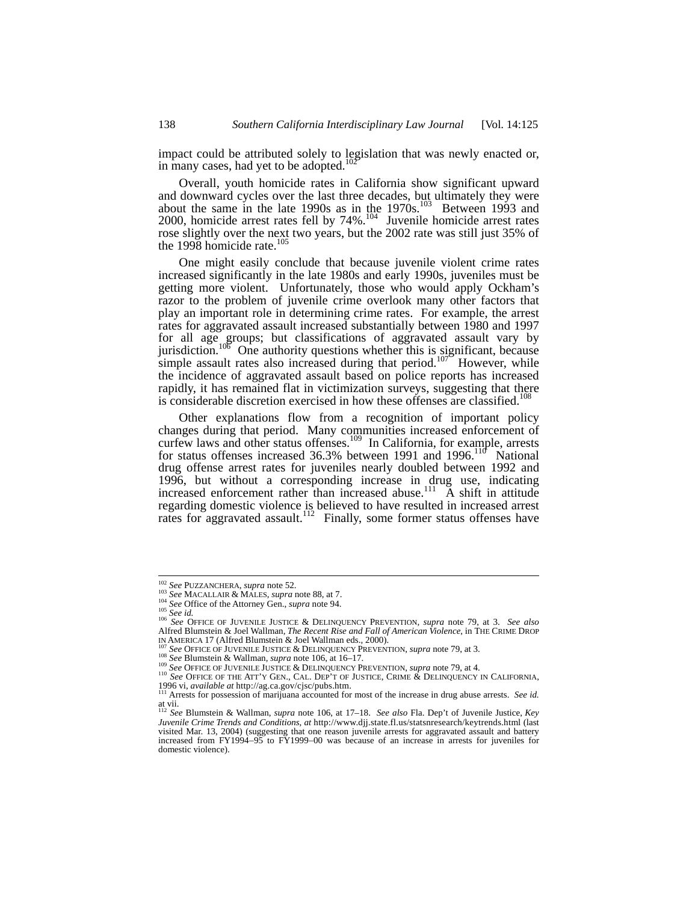impact could be attributed solely to legislation that was newly enacted or, in many cases, had yet to be adopted.<sup>10</sup>

Overall, youth homicide rates in California show significant upward and downward cycles over the last three decades, but ultimately they were about the same in the late 1990s as in the  $1970s$ .<sup>103</sup> Between 1993 and 2000, homicide arrest rates fell by  $74\%$ .<sup>104</sup> Juvenile homicide arrest rates rose slightly over the next two years, but the 2002 rate was still just 35% of the 1998 homicide rate. $105$ 

One might easily conclude that because juvenile violent crime rates increased significantly in the late 1980s and early 1990s, juveniles must be getting more violent. Unfortunately, those who would apply Ockham's razor to the problem of juvenile crime overlook many other factors that play an important role in determining crime rates. For example, the arrest rates for aggravated assault increased substantially between 1980 and 1997 for all age groups; but classifications of aggravated assault vary by jurisdiction.<sup>106</sup> One authority questions whether this is significant, because simple assault rates also increased during that period.<sup>107°</sup> However, while the incidence of aggravated assault based on police reports has increased rapidly, it has remained flat in victimization surveys, suggesting that there is considerable discretion exercised in how these offenses are classified.<sup>108</sup>

Other explanations flow from a recognition of important policy changes during that period. Many communities increased enforcement of curfew laws and other status offenses.<sup>109</sup> In California, for example, arrests for status offenses increased 36.3% between 1991 and 1996.<sup>110</sup> National drug offense arrest rates for juveniles nearly doubled between 1992 and 1996, but without a corresponding increase in drug use, indicating increased enforcement rather than increased abuse.<sup>111</sup>  $\overrightarrow{A}$  shift in attitude regarding domestic violence is believed to have resulted in increased arrest rates for aggravated assault.<sup>112</sup> Finally, some former status offenses have

<sup>&</sup>lt;sup>102</sup> See PUZZANCHERA, *supra* note 52.<br><sup>103</sup> See MACALLAIR & MALES, *supra* note 88, at 7.<br><sup>104</sup> See Office of the Attorney Gen., *supra* note 94.<br><sup>105</sup> See id.<br><sup>106</sup> See OFFICE OF JUVENILE JUSTICE & DELINQUENCY PREVENTI Alfred Blumstein & Joel Wallman, *The Recent Rise and Fall of American Violence*, in THE CRIME DROP IN AMERICA 17 (Alfred Blumstein & Joel Wallman eds., 2000).

<sup>&</sup>lt;sup>107</sup> See OFFICE OF JUVENILE JUSTICE & DELINQUENCY PREVENTION, *supra* note 79, at 3.<br><sup>108</sup> See Blumstein & Wallman, *supra* note 106, at 16–17.<br><sup>109</sup> See OFFICE OF JUVENILE JUSTICE & DELINQUENCY PREVENTION, *supra* note 1996 vi, *available at* http://ag.ca.gov/cjsc/pubs.htm.<br><sup>111</sup> Arrests for possession of marijuana accounted for most of the increase in drug abuse arrests. *See id.* 

at vii. <sup>112</sup> *See* Blumstein & Wallman, *supra* note 106, at 17–18. *See also* Fla. Dep't of Juvenile Justice, *Key Juvenile Crime Trends and Conditions*, *at* http://www.djj.state.fl.us/statsnresearch/keytrends.html (last visited Mar. 13, 2004) (suggesting that one reason juvenile arrests for aggravated assault and battery increased from FY1994−95 to FY1999−00 was because of an increase in arrests for juveniles for domestic violence).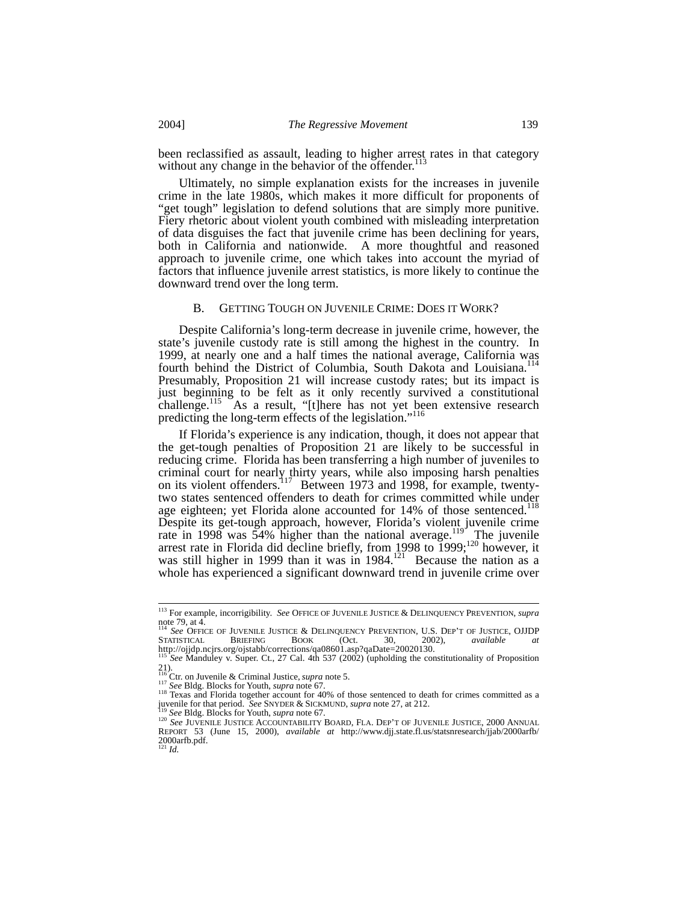been reclassified as assault, leading to higher arrest rates in that category without any change in the behavior of the offender.<sup>113</sup>

Ultimately, no simple explanation exists for the increases in juvenile crime in the late 1980s, which makes it more difficult for proponents of "get tough" legislation to defend solutions that are simply more punitive. Fiery rhetoric about violent youth combined with misleading interpretation of data disguises the fact that juvenile crime has been declining for years, both in California and nationwide. A more thoughtful and reasoned approach to juvenile crime, one which takes into account the myriad of factors that influence juvenile arrest statistics, is more likely to continue the downward trend over the long term.

#### B. GETTING TOUGH ON JUVENILE CRIME: DOES IT WORK?

Despite California's long-term decrease in juvenile crime, however, the state's juvenile custody rate is still among the highest in the country. In 1999, at nearly one and a half times the national average, California was fourth behind the District of Columbia, South Dakota and Louisiana.<sup>114</sup> Presumably, Proposition 21 will increase custody rates; but its impact is just beginning to be felt as it only recently survived a constitutional challenge.<sup>115</sup> As a result, "[t]here has not yet been extensive research predicting the long-term effects of the legislation."116

If Florida's experience is any indication, though, it does not appear that the get-tough penalties of Proposition 21 are likely to be successful in reducing crime. Florida has been transferring a high number of juveniles to criminal court for nearly thirty years, while also imposing harsh penalties on its violent offenders.<sup>117</sup> Between 1973 and 1998, for example, twentytwo states sentenced offenders to death for crimes committed while under age eighteen; yet Florida alone accounted for 14% of those sentenced.<sup>118</sup> Despite its get-tough approach, however, Florida's violent juvenile crime rate in 1998 was  $\frac{54}{6}$  higher than the national average.<sup>119</sup> The juvenile arrest rate in Florida did decline briefly, from 1998 to  $1999;^{120}$  however, it was still higher in 1999 than it was in 1984.<sup>121</sup> Because the nation as a whole has experienced a significant downward trend in juvenile crime over

 <sup>113</sup> For example, incorrigibility. *See* OFFICE OF JUVENILE JUSTICE & DELINQUENCY PREVENTION, *supra* note 79, at 4. <sup>114</sup> *See* OFFICE OF JUVENILE JUSTICE & DELINQUENCY PREVENTION, U.S. DEP'T OF JUSTICE, OJJDP

STATISTICAL BRIEFING BOOK (Oct. 30, 2002), *available at*<br>http://ojjdp.ncjrs.org/ojstabb/corrections/qa08601.asp?qaDate=20020130.<br><sup>115</sup> See Manduley v. Super. Ct., 27 Cal. 4th 537 (2002) (upholding the constitutionality of

<sup>21).&</sup>lt;br><sup>116</sup> Ctr. on Juvenile & Criminal Justice, *supra* note 5.<br><sup>117</sup> See Bldg. Blocks for Youth, *supra* note 67.<br><sup>118</sup> Texas and Florida together account for 40% of those sentenced to death for crimes committed as a

<sup>&</sup>lt;sup>118</sup> Texas and Florida together account for 40% of those sentenced to death for crimes committed as a juvenile for that period. *See* SNYDER & SICKMUND, *supra* note 27, at 212.<br><sup>119</sup> See Bldg. Blocks for Youth, *supra*

REPORT 53 (June 15, 2000), *available at* http://www.djj.state.fl.us/statsnresearch/jjab/2000arfb/ 2000arfb.pdf. <sup>121</sup> *Id.*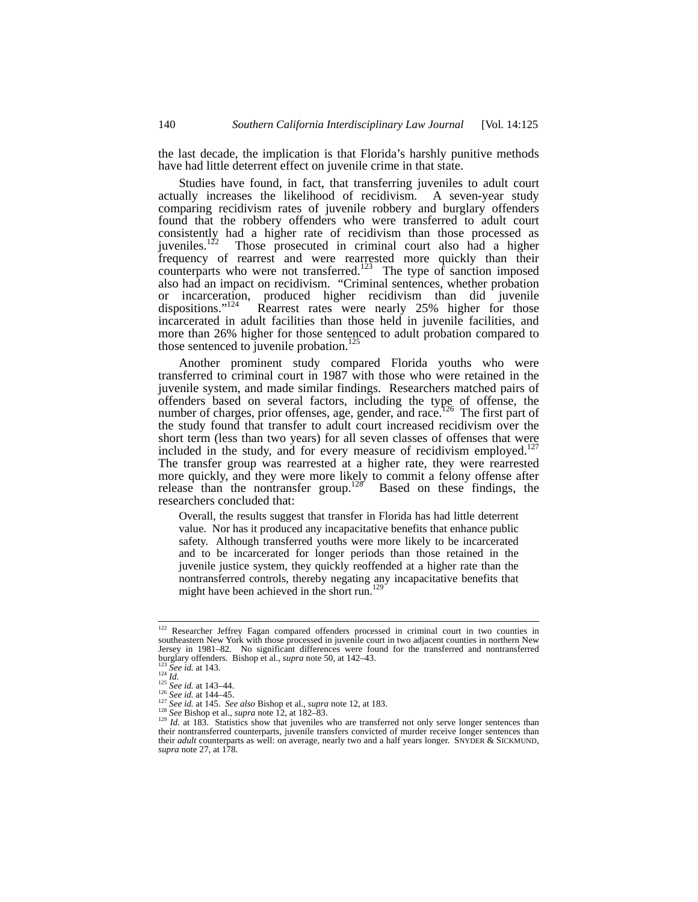the last decade, the implication is that Florida's harshly punitive methods have had little deterrent effect on juvenile crime in that state.

Studies have found, in fact, that transferring juveniles to adult court actually increases the likelihood of recidivism. A seven-year study comparing recidivism rates of juvenile robbery and burglary offenders found that the robbery offenders who were transferred to adult court consistently had a higher rate of recidivism than those processed as juveniles.<sup>122</sup> Those prosecuted in criminal court also had a higher frequency of rearrest and were rearrested more quickly than their counterparts who were not transferred.<sup>123</sup> The type of sanction imposed also had an impact on recidivism. "Criminal sentences, whether probation or incarceration, produced higher recidivism than did juvenile dispositions."<sup>124</sup> Rearrest rates were nearly 25% higher for those incarcerated in adult facilities than those held in juvenile facilities, and more than 26% higher for those sentenced to adult probation compared to those sentenced to juvenile probation.<sup>125</sup>

Another prominent study compared Florida youths who were transferred to criminal court in 1987 with those who were retained in the juvenile system, and made similar findings. Researchers matched pairs of offenders based on several factors, including the type of offense, the number of charges, prior offenses, age, gender, and race.<sup>126</sup> The first part of the study found that transfer to adult court increased recidivism over the short term (less than two years) for all seven classes of offenses that were included in the study, and for every measure of recidivism employed.<sup>127</sup> The transfer group was rearrested at a higher rate, they were rearrested more quickly, and they were more likely to commit a felony offense after release than the nontransfer group.<sup>128</sup> Based on these findings, the researchers concluded that:

Overall, the results suggest that transfer in Florida has had little deterrent value. Nor has it produced any incapacitative benefits that enhance public safety. Although transferred youths were more likely to be incarcerated and to be incarcerated for longer periods than those retained in the juvenile justice system, they quickly reoffended at a higher rate than the nontransferred controls, thereby negating any incapacitative benefits that might have been achieved in the short run.<sup>129</sup>

<sup>&</sup>lt;sup>122</sup> Researcher Jeffrey Fagan compared offenders processed in criminal court in two counties in southeastern New York with those processed in juvenile court in two adjacent counties in northern New Jersey in 1981–82. No significant differences were found for the transferred and nontransferred burglary offenders. Bishop et al., *supra* note 50, at 142–43.

<sup>&</sup>lt;sup>123</sup> See id. at 143.<br>
<sup>125</sup> See id. at 143.<br>
<sup>125</sup> See id. at 143–44.<br>
<sup>126</sup> See id. at 144–45.<br>
<sup>126</sup> See id. at 144–45.<br>
<sup>129</sup> See id. at 145. See also Bishop et al., *supra* note 12, at 183.<br>
<sup>129</sup> See Bishop et al., their nontransferred counterparts, juvenile transfers convicted of murder receive longer sentences than their *adult* counterparts as well: on average, nearly two and a half years longer. SNYDER & SICKMUND, *supra* note 27, at 178.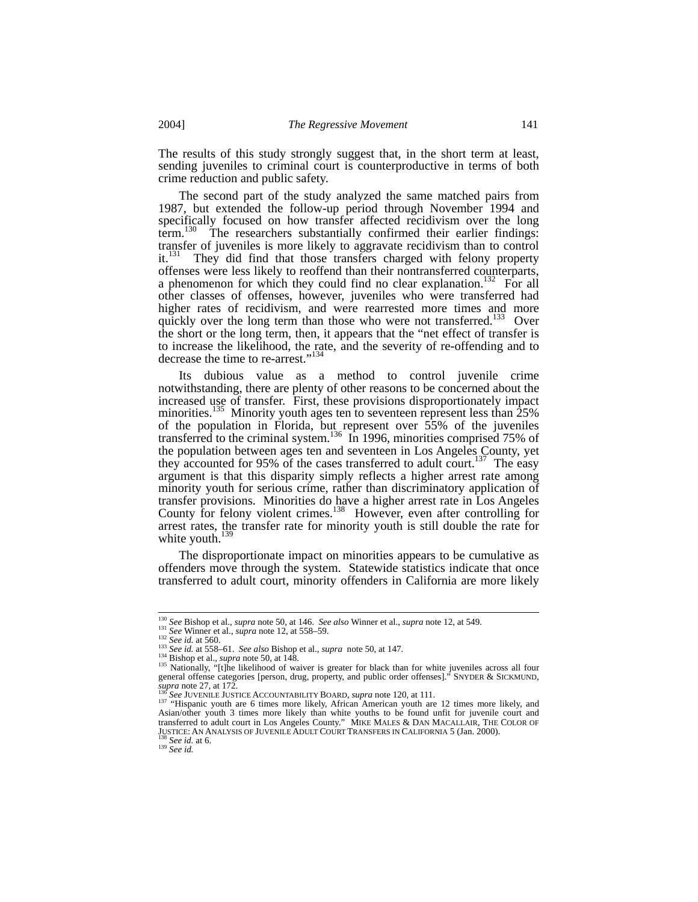The results of this study strongly suggest that, in the short term at least, sending juveniles to criminal court is counterproductive in terms of both crime reduction and public safety.

The second part of the study analyzed the same matched pairs from 1987, but extended the follow-up period through November 1994 and specifically focused on how transfer affected recidivism over the long term.<sup>130</sup> The researchers substantially confirmed their earlier findings: transfer of juveniles is more likely to aggravate recidivism than to control it.<sup>131</sup> They did find that those transfers charged with felony property offenses were less likely to reoffend than their nontransferred counterparts, a phenomenon for which they could find no clear explanation.<sup>132</sup> For all other classes of offenses, however, juveniles who were transferred had higher rates of recidivism, and were rearrested more times and more quickly over the long term than those who were not transferred.<sup>133</sup> Over the short or the long term, then, it appears that the "net effect of transfer is to increase the likelihood, the rate, and the severity of re-offending and to decrease the time to re-arrest."<sup>134</sup>

Its dubious value as a method to control juvenile crime notwithstanding, there are plenty of other reasons to be concerned about the increased use of transfer. First, these provisions disproportionately impact minorities.<sup>135</sup> Minority youth ages ten to seventeen represent less than 25% of the population in Florida, but represent over 55% of the juveniles transferred to the criminal system.<sup>136</sup> In 1996, minorities comprised 75% of the population between ages ten and seventeen in Los Angeles County, yet they accounted for 95% of the cases transferred to adult court.<sup>137</sup> The easy argument is that this disparity simply reflects a higher arrest rate among minority youth for serious crime, rather than discriminatory application of transfer provisions. Minorities do have a higher arrest rate in Los Angeles County for felony violent crimes.<sup>138</sup> However, even after controlling for arrest rates, the transfer rate for minority youth is still double the rate for white youth. $139$ 

The disproportionate impact on minorities appears to be cumulative as offenders move through the system. Statewide statistics indicate that once transferred to adult court, minority offenders in California are more likely

<sup>&</sup>lt;sup>130</sup> See Bishop et al., *supra* note 50, at 146. See also Winner et al., *supra* note 12, at 549.<br><sup>131</sup> See Winner et al., *supra* note 12, at 558–59.<br><sup>132</sup> See id. at 560.<br><sup>133</sup> See id. at 558–61. See also Bishop et al. general offense categories [person, drug, property, and public order offenses]." SNYDER & SICKMUND, supra note 27, at 172.

supra note 27, at 172.<br>
<sup>136</sup> See JUVENILE JUSTICE ACCOUNTABILITY BOARD, *supra* note 120, at 111.<br>
<sup>137</sup> "Hispanic youth are 6 times more likely, African American youth are 12 times more likely, and<br>
Asian/other youth 3 t transferred to adult court in Los Angeles County." MIKE MALES & DAN MACALLAIR, THE COLOR OF JUSTICE: AN ANALYSIS OF JUVENILE ADULT COURT TRANSFERS IN CALIFORNIA 5 (Jan. 2000). 138 *See id.* at 6. 139 *See id.*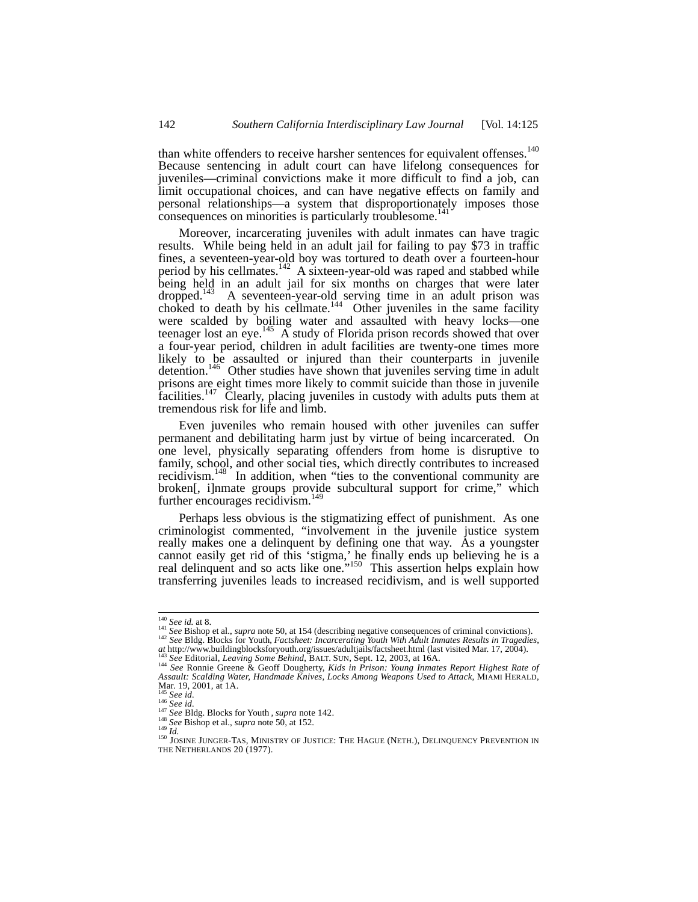than white offenders to receive harsher sentences for equivalent offenses.<sup>140</sup><br>Because sentencing in adult court can have lifelong consequences for juveniles—criminal convictions make it more difficult to find a job, can limit occupational choices, and can have negative effects on family and personal relationships—a system that disproportionately imposes those consequences on minorities is particularly troublesome.<sup>141</sup>

Moreover, incarcerating juveniles with adult inmates can have tragic results. While being held in an adult jail for failing to pay \$73 in traffic fines, a seventeen-year-old boy was tortured to death over a fourteen-hour period by his cellmates.<sup>142</sup> A sixteen-year-old was raped and stabbed while being held in an adult jail for six months on charges that were later dropped.<sup>143</sup> A seventeen-year-old serving time in an adult prison was choked to death by his cellmate.<sup>144</sup> Other juveniles in the same facility were scalded by boiling water and assaulted with heavy locks—one teenager lost an eye.<sup>145</sup>  $\overrightarrow{A}$  study of Florida prison records showed that over a four-year period, children in adult facilities are twenty-one times more likely to be assaulted or injured than their counterparts in juvenile detention.<sup>146</sup> Other studies have shown that juveniles serving time in adult prisons are eight times more likely to commit suicide than those in juvenile facilities.<sup>147</sup> Clearly, placing juveniles in custody with adults puts them at tremendous risk for life and limb.

Even juveniles who remain housed with other juveniles can suffer permanent and debilitating harm just by virtue of being incarcerated. On one level, physically separating offenders from home is disruptive to family, school, and other social ties, which directly contributes to increased recidivism.<sup>148</sup> In addition, when "ties to the conventional community are broken[, i]nmate groups provide subcultural support for crime," which further encourages recidivism.<sup>149</sup>

Perhaps less obvious is the stigmatizing effect of punishment. As one criminologist commented, "involvement in the juvenile justice system really makes one a delinquent by defining one that way. As a youngster cannot easily get rid of this 'stigma,' he finally ends up believing he is a real delinquent and so acts like one."<sup>150</sup> This assertion helps explain how transferring juveniles leads to increased recidivism, and is well supported

<sup>&</sup>lt;sup>140</sup> See id. at 8.<br><sup>141</sup> See Bishop et al., *supra* note 50, at 154 (describing negative consequences of criminal convictions).<br><sup>142</sup> See Bldg. Blocks for Youth, *Factsheet: Incarcerating Youth With Adult Inmates Results* at http://www.buildingblocksforyouth.org/issues/adultjails/factsheet.html (last visited Mar. 17, 2004).<br>
<sup>143</sup> See Editorial, *Leaving Some Behind*, BALT. SUN, Sept. 12, 2003, at 16A.<br>
<sup>144</sup> See Editorial, *Leaving Some Be* 

*Assault: Scalding Water, Handmade Knives, Locks Among Weapons Used to Attack*, MIAMI HERALD, Mar. 19, 2001, at 1A.<br> $^{145}$  See id.<br> $^{146}$  See id.

<sup>&</sup>lt;sup>147</sup> See Bldg. Blocks for Youth, *supra* note 142.<br>
<sup>147</sup> See Bldg. Blocks for Youth, *supra* note 50, at 152.<br>
<sup>149</sup> *Id.*<br>
<sup>150</sup> JOSINE JUNGER-TAS, MINISTRY OF JUSTICE: THE HAGUE (NETH.), DELINQUENCY PREVENTION IN THE NETHERLANDS 20 (1977).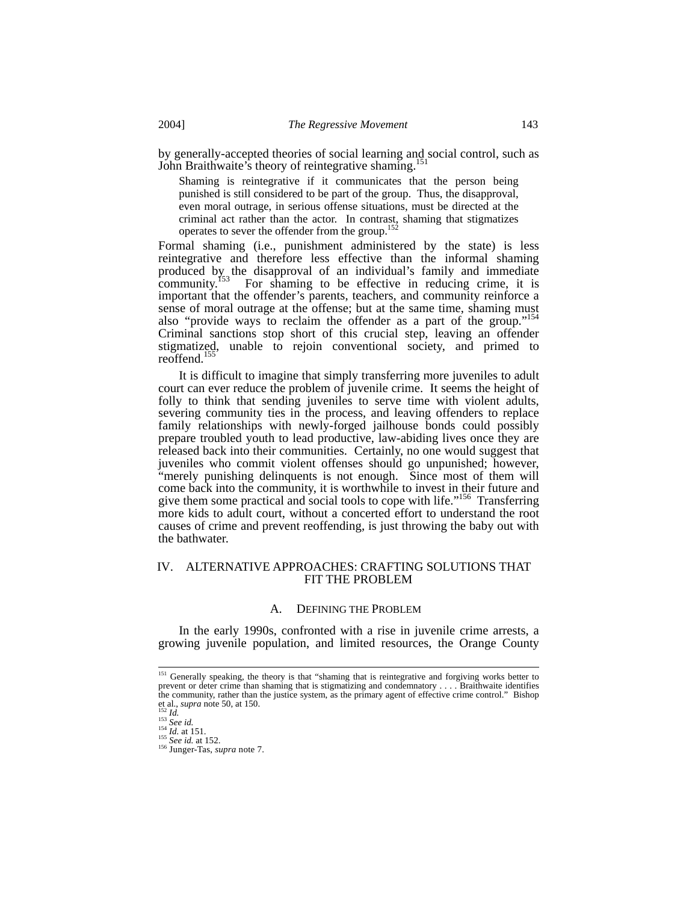by generally-accepted theories of social learning and social control, such as John Braithwaite's theory of reintegrative shaming.<sup>151</sup>

Shaming is reintegrative if it communicates that the person being punished is still considered to be part of the group. Thus, the disapproval, even moral outrage, in serious offense situations, must be directed at the criminal act rather than the actor. In contrast, shaming that stigmatizes operates to sever the offender from the group.<sup>152</sup>

Formal shaming (i.e., punishment administered by the state) is less reintegrative and therefore less effective than the informal shaming produced by the disapproval of an individual's family and immediate community.<sup>153</sup> For shaming to be effective in reducing crime, it is important that the offender's parents, teachers, and community reinforce a sense of moral outrage at the offense; but at the same time, shaming must also "provide ways to reclaim the offender as a part of the group."<sup>154</sup> Criminal sanctions stop short of this crucial step, leaving an offender stigmatized, unable to rejoin conventional society, and primed to reoffend.<sup>155</sup>

It is difficult to imagine that simply transferring more juveniles to adult court can ever reduce the problem of juvenile crime. It seems the height of folly to think that sending juveniles to serve time with violent adults, severing community ties in the process, and leaving offenders to replace family relationships with newly-forged jailhouse bonds could possibly prepare troubled youth to lead productive, law-abiding lives once they are released back into their communities. Certainly, no one would suggest that juveniles who commit violent offenses should go unpunished; however, "merely punishing delinquents is not enough. Since most of them will come back into the community, it is worthwhile to invest in their future and give them some practical and social tools to cope with life."156 Transferring more kids to adult court, without a concerted effort to understand the root causes of crime and prevent reoffending, is just throwing the baby out with the bathwater.

## IV. ALTERNATIVE APPROACHES: CRAFTING SOLUTIONS THAT FIT THE PROBLEM

#### A. DEFINING THE PROBLEM

In the early 1990s, confronted with a rise in juvenile crime arrests, a growing juvenile population, and limited resources, the Orange County

<sup>&</sup>lt;sup>151</sup> Generally speaking, the theory is that "shaming that is reintegrative and forgiving works better to prevent or deter crime than shaming that is stigmatizing and condemnatory . . . . Braithwaite identifies the community, rather than the justice system, as the primary agent of effective crime control." Bishop et al., *supra* note 50, at 150.<br>
152 *Id.*<br>
<sup>153</sup> *See id.*<br>
<sup>154</sup> *Id.* at 151.<br>
<sup>155</sup> *See id.* at 152.<br>
<sup>156</sup> Junger-Tas, *supra* note 7.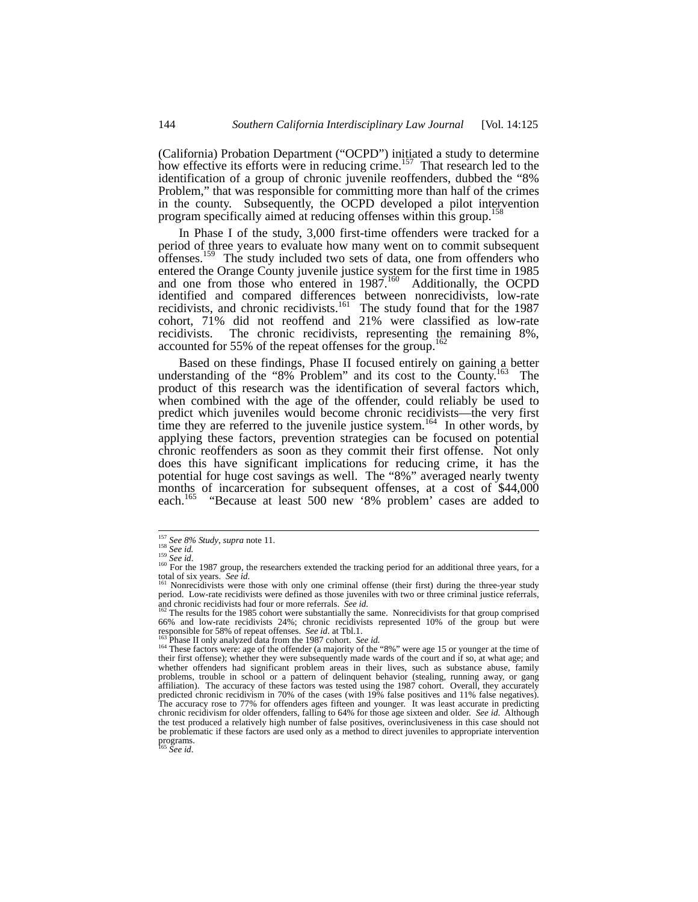(California) Probation Department ("OCPD") initiated a study to determine how effective its efforts were in reducing crime.<sup>157</sup> That research led to the identification of a group of chronic juvenile reoffenders, dubbed the "8% Problem," that was responsible for committing more than half of the crimes in the county. Subsequently, the OCPD developed a pilot intervention program specifically aimed at reducing offenses within this group.<sup>158</sup>

In Phase I of the study, 3,000 first-time offenders were tracked for a period of three years to evaluate how many went on to commit subsequent offenses.159 The study included two sets of data, one from offenders who entered the Orange County juvenile justice system for the first time in 1985 and one from those who entered in 1987.<sup>160</sup> Additionally, the OCPD identified and compared differences between nonrecidivists, low-rate recidivists, and chronic recidivists.<sup>161</sup> The study found that for the 1987 cohort, 71% did not reoffend and 21% were classified as low-rate recidivists. The chronic recidivists, representing the remaining 8%, accounted for 55% of the repeat offenses for the group.<sup>162</sup>

Based on these findings, Phase II focused entirely on gaining a better understanding of the "8% Problem" and its cost to the County.<sup>163</sup> The product of this research was the identification of several factors which, when combined with the age of the offender, could reliably be used to predict which juveniles would become chronic recidivists—the very first time they are referred to the juvenile justice system.<sup>164</sup> In other words, by applying these factors, prevention strategies can be focused on potential chronic reoffenders as soon as they commit their first offense. Not only does this have significant implications for reducing crime, it has the potential for huge cost savings as well. The "8%" averaged nearly twenty months of incarceration for subsequent offenses, at a cost of  $$44,000$  each.<sup>165</sup> "Because at least 500 new '8% problem' cases are added to "Because at least 500 new '8% problem' cases are added to

<sup>&</sup>lt;sup>157</sup> *See 8% Study, supra* note 11.<br>
<sup>158</sup> *See id.*<br>
<sup>159</sup> *See id.*<br>
<sup>160</sup> For the 1987 group, the researchers extended the tracking period for an additional three years, for a<br>
<sup>160</sup> and of six years. *See id.* 

<sup>&</sup>lt;sup>1</sup> Nonrecidivists were those with only one criminal offense (their first) during the three-year study period. Low-rate recidivists were defined as those juveniles with two or three criminal justice referrals, and chronic recidivists had four or more referrals. *See id.* 162 The results for that group comprised  $\frac{162}{162}$  The results for the 1985 cohort were substantially the same. Nonrecidivists for that group comprised

<sup>66%</sup> and low-rate recidivists 24%; chronic recidivists represented 10% of the group but were<br>responsible for 58% of repeat offenses. See id. at Tbl.1.

<sup>&</sup>lt;sup>163</sup> Phase II only analyzed data from the 1987 cohort. *See id.*<br><sup>164</sup> These factors were: age of the offender (a majority of the "8%" were age 15 or younger at the time of their first offense); whether they were subsequently made wards of the court and if so, at what age; and whether offenders had significant problem areas in their lives, such as substance abuse, family problems, trouble in school or a pattern of delinquent behavior (stealing, running away, or gang affiliation). The accuracy of these factors was tested using the 1987 cohort. Overall, they accurately predicted chronic recidivism in 70% of the cases (with 19% false positives and 11% false negatives). The accuracy rose to 77% for offenders ages fifteen and younger. It was least accurate in predicting chronic recidivism for older offenders, falling to 64% for those age sixteen and older. *See id*. Although the test produced a relatively high number of false positives, overinclusiveness in this case should not be problematic if these factors are used only as a method to direct juveniles to appropriate intervention programs. <sup>165</sup> *See id*.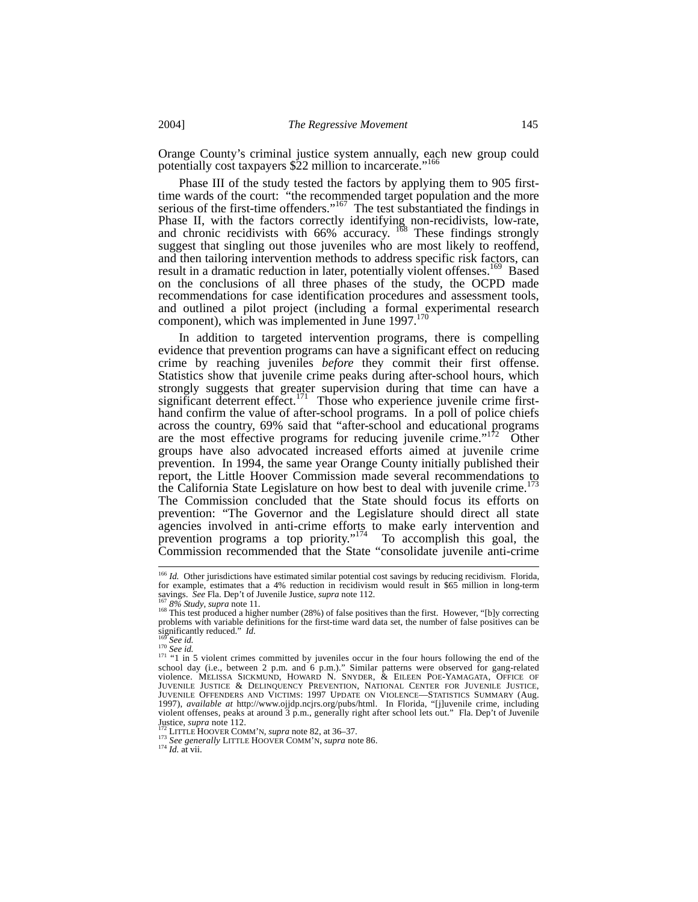Orange County's criminal justice system annually, each new group could potentially cost taxpayers \$22 million to incarcerate."166

Phase III of the study tested the factors by applying them to 905 firsttime wards of the court: "the recommended target population and the more serious of the first-time offenders." $167$  The test substantiated the findings in Phase II, with the factors correctly identifying non-recidivists, low-rate, and chronic recidivists with  $66\%$  accuracy. <sup>168</sup> These findings strongly suggest that singling out those juveniles who are most likely to reoffend, and then tailoring intervention methods to address specific risk factors, can result in a dramatic reduction in later, potentially violent offenses.<sup>169</sup> Based on the conclusions of all three phases of the study, the OCPD made recommendations for case identification procedures and assessment tools, and outlined a pilot project (including a formal experimental research component), which was implemented in June  $1997$ .<sup>17</sup>

In addition to targeted intervention programs, there is compelling evidence that prevention programs can have a significant effect on reducing crime by reaching juveniles *before* they commit their first offense. Statistics show that juvenile crime peaks during after-school hours, which strongly suggests that greater supervision during that time can have a significant deterrent effect.<sup>171</sup> Those who experience juvenile crime firsthand confirm the value of after-school programs. In a poll of police chiefs across the country, 69% said that "after-school and educational programs are the most effective programs for reducing juvenile crime."<sup>172</sup> Other groups have also advocated increased efforts aimed at juvenile crime prevention. In 1994, the same year Orange County initially published their report, the Little Hoover Commission made several recommendations to<br>report, the Little Hoover Commission made several recommendations to the California State Legislature on how best to deal with juvenile crime.<sup>1</sup> The Commission concluded that the State should focus its efforts on prevention: "The Governor and the Legislature should direct all state agencies involved in anti-crime efforts to make early intervention and prevention programs a top priority."<sup>174</sup> To accomplish this goal, the Commission recommended that the State "consolidate juvenile anti-crime

<sup>&</sup>lt;sup>166</sup> *Id.* Other jurisdictions have estimated similar potential cost savings by reducing recidivism. Florida, for example, estimates that a 4% reduction in recidivism would result in \$65 million in long-term sayings. See Fla. Dep't of Juvenile Justice, *supra* note 112.

<sup>&</sup>lt;sup>167</sup> 8% Study, *supra* note 11.<br><sup>168</sup> This test produced a higher number (28%) of false positives than the first. However, "[b]y correcting problems with variable definitions for the first-time ward data set, the number of false positives can be significantly reduced." *Id.* 

<sup>&</sup>lt;sup>169</sup> *See id.* <sup>170</sup> *See id.* <sup>170</sup> *See id.* <sup>170</sup> *See id.* <sup>170</sup> *See id.* <sup>171</sup> in 5 violent crimes committed by juveniles occur in the four hours following the end of the school day (i.e., between 2 p.m. and 6 p.m.)." Similar patterns were observed for gang-related violence. MELISSA SICKMUND, HOWARD N. SNYDER, & EILEEN POE-YAMAGATA, OFFICE OF JUVENILE JUSTICE & DELINQUENCY PREVENTION, NATIONAL CENTER FOR JUVENILE JUSTICE, JUVENILE OFFENDERS AND VICTIMS: 1997 UPDATE ON VIOLENCE—STATISTICS SUMMARY (Aug. 1997), *available at* http://www.ojjdp.ncjrs.org/pubs/html. In Florida, "[j]uvenile crime, including violent offenses, peaks at around 3 p.m., generally right after school lets out." Fla. Dep't of Juvenile Justice, *supra* note 112. 172 LITTLE HOOVER COMM'N, *supra* note 82, at 36–37. 173 *See generally* LITTLE HOOVER COMM'N, *supra* note 86. 174 *Id.* at vii.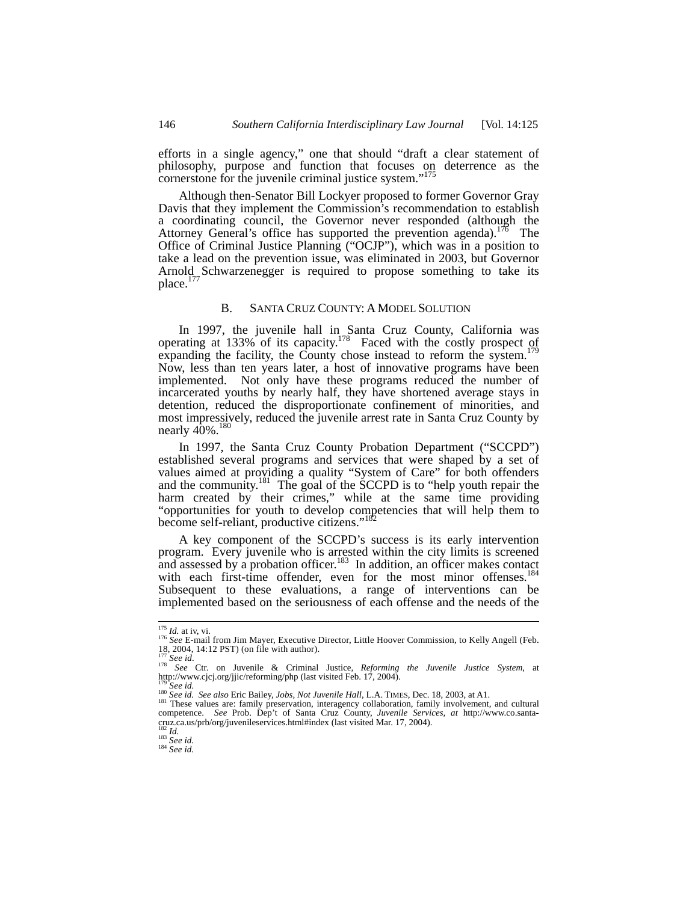efforts in a single agency," one that should "draft a clear statement of philosophy, purpose and function that focuses on deterrence as the cornerstone for the juvenile criminal justice system."<sup>175</sup>

Although then-Senator Bill Lockyer proposed to former Governor Gray Davis that they implement the Commission's recommendation to establish a coordinating council, the Governor never responded (although the Attorney General's office has supported the prevention agenda).<sup>176</sup> The Office of Criminal Justice Planning ("OCJP"), which was in a position to take a lead on the prevention issue, was eliminated in 2003, but Governor Arnold Schwarzenegger is required to propose something to take its place.<sup>1</sup>

#### B. SANTA CRUZ COUNTY: A MODEL SOLUTION

In 1997, the juvenile hall in Santa Cruz County, California was operating at 133% of its capacity.<sup>178</sup> Faced with the costly prospect of expanding the facility, the County chose instead to reform the system.<sup>179</sup> Now, less than ten years later, a host of innovative programs have been implemented. Not only have these programs reduced the number of incarcerated youths by nearly half, they have shortened average stays in detention, reduced the disproportionate confinement of minorities, and most impressively, reduced the juvenile arrest rate in Santa Cruz County by nearly  $40\%$ <sup>180</sup>

In 1997, the Santa Cruz County Probation Department ("SCCPD") established several programs and services that were shaped by a set of values aimed at providing a quality "System of Care" for both offenders and the community.<sup>181</sup> The goal of the SCCPD is to "help youth repair the harm created by their crimes," while at the same time providing "opportunities for youth to develop competencies that will help them to become self-reliant, productive citizens."<sup>182</sup>

A key component of the SCCPD's success is its early intervention program. Every juvenile who is arrested within the city limits is screened and assessed by a probation officer.<sup>183</sup> In addition, an officer makes contact with each first-time offender, even for the most minor offenses.<sup>184</sup> Subsequent to these evaluations, a range of interventions can be implemented based on the seriousness of each offense and the needs of the

<sup>&</sup>lt;sup>175</sup> *Id.* at iv, vi.<br><sup>176</sup> *See* E-mail from Jim Mayer, Executive Director, Little Hoover Commission, to Kelly Angell (Feb.  $18, 2004, 14:12$  PST) (on file with author).

<sup>177</sup> *See id.* 178 *See id.* 178 *See id.* 178 *See id.* 178 *See Ctr.* on Juvenile & Criminal Justice, *Reforming the Juvenile Justice System*, at http://www.cjcj.org/jjic/reforming/php (last visited Feb. 17, 2004).

http://www.cjcj.org/jjic/reforming/php (last visited Feb. 17, 2004).<br><sup>179</sup> See id.<br><sup>180</sup> See id. See also Eric Bailey, Jobs, Not Juvenile Hall, L.A. TIMES, Dec. 18, 2003, at A1.<br><sup>181</sup> These values are: family preservation, cruz.ca.us/prb/org/juvenileservices.html#index (last visited Mar. 17, 2004). <sup>182</sup> *Id.* <sup>183</sup> *See id.* <sup>184</sup> *See id.*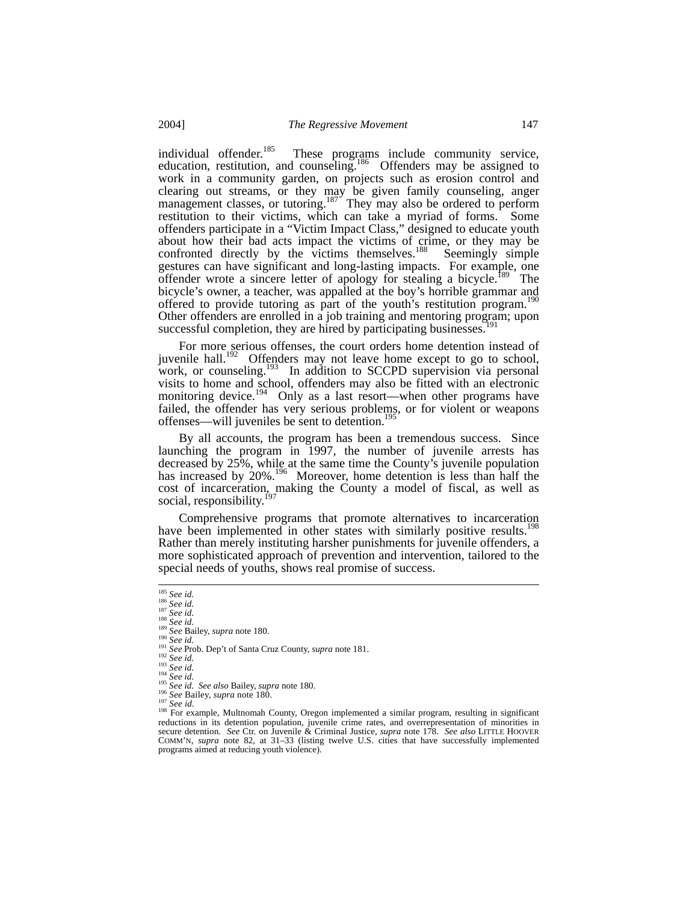individual offender.<sup>185</sup> These programs include community service, education, restitution, and counseling.<sup>186</sup> Offenders may be assigned to work in a community garden, on projects such as erosion control and clearing out streams, or they may be given family counseling, anger management classes, or tutoring.<sup>187</sup> They may also be ordered to perform restitution to their victims, which can take a myriad of forms. Some offenders participate in a "Victim Impact Class," designed to educate youth about how their bad acts impact the victims of crime, or they may be confronted directly by the victims themselves.<sup>188</sup> Seemingly simple gestures can have significant and long-lasting impacts. For example, one offender wrote a sincere letter of apology for stealing a bicycle.<sup>189</sup> The bicycle's owner, a teacher, was appalled at the boy's horrible grammar and offered to provide tutoring as part of the youth's restitution program.<sup>190</sup> Other offenders are enrolled in a job training and mentoring program; upon successful completion, they are hired by participating businesses.<sup>191</sup>

For more serious offenses, the court orders home detention instead of juvenile hall.<sup>192</sup> Offenders may not leave home except to go to school, work, or counseling.<sup>193</sup> In addition to SCCPD supervision via personal visits to home and school, offenders may also be fitted with an electronic monitoring device.<sup>194</sup> Only as a last resort—when other programs have failed, the offender has very serious problems, or for violent or weapons offenses—will juveniles be sent to detention.195

By all accounts, the program has been a tremendous success. Since launching the program in 1997, the number of juvenile arrests has decreased by 25%, while at the same time the County's juvenile population has increased by  $20\%$ .<sup>196</sup> Moreover, home detention is less than half the cost of incarceration, making the County a model of fiscal, as well as social, responsibility.<sup>197</sup>

Comprehensive programs that promote alternatives to incarceration have been implemented in other states with similarly positive results.<sup>1</sup> Rather than merely instituting harsher punishments for juvenile offenders, a more sophisticated approach of prevention and intervention, tailored to the special needs of youths, shows real promise of success.

<sup>&</sup>lt;sup>185</sup> See id.<br>
<sup>186</sup> See id.<br>
<sup>186</sup> See id.<br>
<sup>188</sup> See id.<br>
<sup>188</sup> See id.<br>
<sup>198</sup> See id.<br>
<sup>199</sup> See id.<br>
<sup>199</sup> See id.<br>
<sup>192</sup> See id.<br>
<sup>194</sup> See id.<br>
<sup>194</sup> See id.<br>
<sup>194</sup> See id.<br>
<sup>194</sup> See id.<br>
<sup>194</sup> See id.<br>
<sup>194</sup> See i reductions in its detention population, juvenile crime rates, and overrepresentation of minorities in secure detention. *See* Ctr. on Juvenile & Criminal Justice, *supra* note 178. *See also* LITTLE HOOVER COMM'N, *supra* note 82, at 31–33 (listing twelve U.S. cities that have successfully implemented programs aimed at reducing youth violence).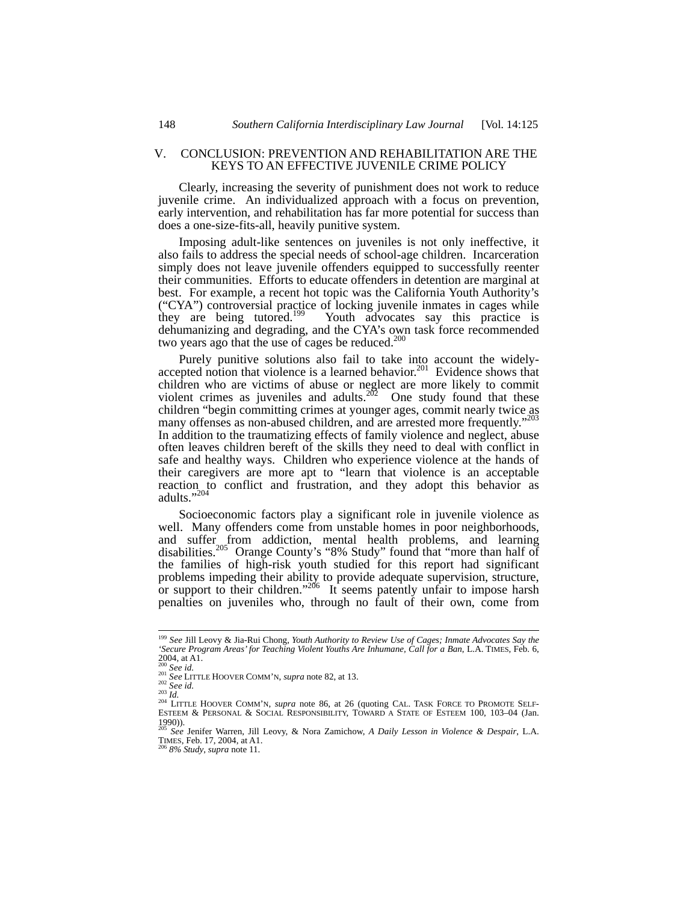### V. CONCLUSION: PREVENTION AND REHABILITATION ARE THE KEYS TO AN EFFECTIVE JUVENILE CRIME POLICY

Clearly, increasing the severity of punishment does not work to reduce juvenile crime. An individualized approach with a focus on prevention, early intervention, and rehabilitation has far more potential for success than does a one-size-fits-all, heavily punitive system.

Imposing adult-like sentences on juveniles is not only ineffective, it also fails to address the special needs of school-age children. Incarceration simply does not leave juvenile offenders equipped to successfully reenter their communities. Efforts to educate offenders in detention are marginal at best. For example, a recent hot topic was the California Youth Authority's ("CYA") controversial practice of locking juvenile inmates in cages while they are being tutored.<sup>199</sup> Youth advocates say this practice is dehumanizing and degrading, and the CYA's own task force recommended two years ago that the use of cages be reduced.<sup>200</sup>

Purely punitive solutions also fail to take into account the widelyaccepted notion that violence is a learned behavior.<sup>201</sup> Evidence shows that children who are victims of abuse or neglect are more likely to commit violent crimes as juveniles and adults.<sup>202</sup> One study found that these children "begin committing crimes at younger ages, commit nearly twice as many offenses as non-abused children, and are arrested more frequently."<sup>203</sup> In addition to the traumatizing effects of family violence and neglect, abuse often leaves children bereft of the skills they need to deal with conflict in safe and healthy ways. Children who experience violence at the hands of their caregivers are more apt to "learn that violence is an acceptable reaction to conflict and frustration, and they adopt this behavior as adults."<sup>204</sup>

Socioeconomic factors play a significant role in juvenile violence as well. Many offenders come from unstable homes in poor neighborhoods, and suffer from addiction, mental health problems, and learning disabilities.<sup>205</sup> Orange County's "8% Study" found that "more than half of the families of high-risk youth studied for this report had significant problems impeding their ability to provide adequate supervision, structure, or support to their children."<sup>206</sup> It seems patently unfair to impose harsh penalties on juveniles who, through no fault of their own, come from

 <sup>199</sup> *See* Jill Leovy & Jia-Rui Chong, *Youth Authority to Review Use of Cages; Inmate Advocates Say the 'Secure Program Areas' for Teaching Violent Youths Are Inhumane, Call for a Ban*, L.A. TIMES, Feb. 6, 2004, at A1.<br>
<sup>200</sup> *See id.*<br>
<sup>200</sup> *See id.*<br>
<sup>201</sup> *See LITTLE HOOVER COMM'N, supra note 82, at 13.* 

<sup>202</sup> See id.<br>
203 *See id.*<br>
204 *Id.*<br>
204 LITTLE HOOVER COMM'N, *supra* note 86, at 26 (quoting CAL. TASK FORCE TO PROMOTE SELF-<br>
204 LITTLE HOOVER COMM'N, *supra* note 86, at 26 (quoting CAL. TASK FORCE TO PROMOTE SELF- $\frac{1990}{205}$ .

<sup>205</sup> *See* Jenifer Warren, Jill Leovy, & Nora Zamichow, *A Daily Lesson in Violence & Despair*, L.A. TIMES, Feb. 17, 2004, at A1. 206 *8% Study*, *supra* note 11.